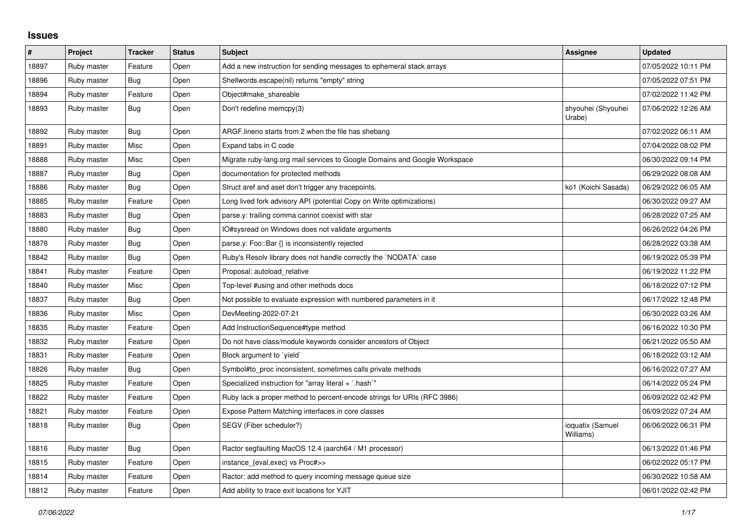## **Issues**

| $\vert$ # | Project     | <b>Tracker</b> | <b>Status</b> | <b>Subject</b>                                                             | Assignee                      | <b>Updated</b>      |
|-----------|-------------|----------------|---------------|----------------------------------------------------------------------------|-------------------------------|---------------------|
| 18897     | Ruby master | Feature        | Open          | Add a new instruction for sending messages to ephemeral stack arrays       |                               | 07/05/2022 10:11 PM |
| 18896     | Ruby master | <b>Bug</b>     | Open          | Shellwords.escape(nil) returns "empty" string                              |                               | 07/05/2022 07:51 PM |
| 18894     | Ruby master | Feature        | Open          | Object#make_shareable                                                      |                               | 07/02/2022 11:42 PM |
| 18893     | Ruby master | <b>Bug</b>     | Open          | Don't redefine memcpy(3)                                                   | shyouhei (Shyouhei<br>Urabe)  | 07/06/2022 12:26 AM |
| 18892     | Ruby master | Bug            | Open          | ARGF lineno starts from 2 when the file has shebang                        |                               | 07/02/2022 06:11 AM |
| 18891     | Ruby master | Misc           | Open          | Expand tabs in C code                                                      |                               | 07/04/2022 08:02 PM |
| 18888     | Ruby master | Misc           | Open          | Migrate ruby-lang.org mail services to Google Domains and Google Workspace |                               | 06/30/2022 09:14 PM |
| 18887     | Ruby master | Bug            | Open          | documentation for protected methods                                        |                               | 06/29/2022 08:08 AM |
| 18886     | Ruby master | Bug            | Open          | Struct aref and aset don't trigger any tracepoints.                        | ko1 (Koichi Sasada)           | 06/29/2022 06:05 AM |
| 18885     | Ruby master | Feature        | Open          | Long lived fork advisory API (potential Copy on Write optimizations)       |                               | 06/30/2022 09:27 AM |
| 18883     | Ruby master | <b>Bug</b>     | Open          | parse.y: trailing comma cannot coexist with star                           |                               | 06/28/2022 07:25 AM |
| 18880     | Ruby master | Bug            | Open          | IO#sysread on Windows does not validate arguments                          |                               | 06/26/2022 04:26 PM |
| 18878     | Ruby master | Bug            | Open          | parse.y: Foo::Bar {} is inconsistently rejected                            |                               | 06/28/2022 03:38 AM |
| 18842     | Ruby master | <b>Bug</b>     | Open          | Ruby's Resolv library does not handle correctly the `NODATA` case          |                               | 06/19/2022 05:39 PM |
| 18841     | Ruby master | Feature        | Open          | Proposal: autoload_relative                                                |                               | 06/19/2022 11:22 PM |
| 18840     | Ruby master | Misc           | Open          | Top-level #using and other methods docs                                    |                               | 06/18/2022 07:12 PM |
| 18837     | Ruby master | Bug            | Open          | Not possible to evaluate expression with numbered parameters in it         |                               | 06/17/2022 12:48 PM |
| 18836     | Ruby master | Misc           | Open          | DevMeeting-2022-07-21                                                      |                               | 06/30/2022 03:26 AM |
| 18835     | Ruby master | Feature        | Open          | Add InstructionSequence#type method                                        |                               | 06/16/2022 10:30 PM |
| 18832     | Ruby master | Feature        | Open          | Do not have class/module keywords consider ancestors of Object             |                               | 06/21/2022 05:50 AM |
| 18831     | Ruby master | Feature        | Open          | Block argument to `yield`                                                  |                               | 06/18/2022 03:12 AM |
| 18826     | Ruby master | Bug            | Open          | Symbol#to_proc inconsistent, sometimes calls private methods               |                               | 06/16/2022 07:27 AM |
| 18825     | Ruby master | Feature        | Open          | Specialized instruction for "array literal + `.hash`"                      |                               | 06/14/2022 05:24 PM |
| 18822     | Ruby master | Feature        | Open          | Ruby lack a proper method to percent-encode strings for URIs (RFC 3986)    |                               | 06/09/2022 02:42 PM |
| 18821     | Ruby master | Feature        | Open          | Expose Pattern Matching interfaces in core classes                         |                               | 06/09/2022 07:24 AM |
| 18818     | Ruby master | Bug            | Open          | SEGV (Fiber scheduler?)                                                    | ioquatix (Samuel<br>Williams) | 06/06/2022 06:31 PM |
| 18816     | Ruby master | Bug            | Open          | Ractor segfaulting MacOS 12.4 (aarch64 / M1 processor)                     |                               | 06/13/2022 01:46 PM |
| 18815     | Ruby master | Feature        | Open          | instance_{eval,exec} vs Proc#>>                                            |                               | 06/02/2022 05:17 PM |
| 18814     | Ruby master | Feature        | Open          | Ractor: add method to query incoming message queue size                    |                               | 06/30/2022 10:58 AM |
| 18812     | Ruby master | Feature        | Open          | Add ability to trace exit locations for YJIT                               |                               | 06/01/2022 02:42 PM |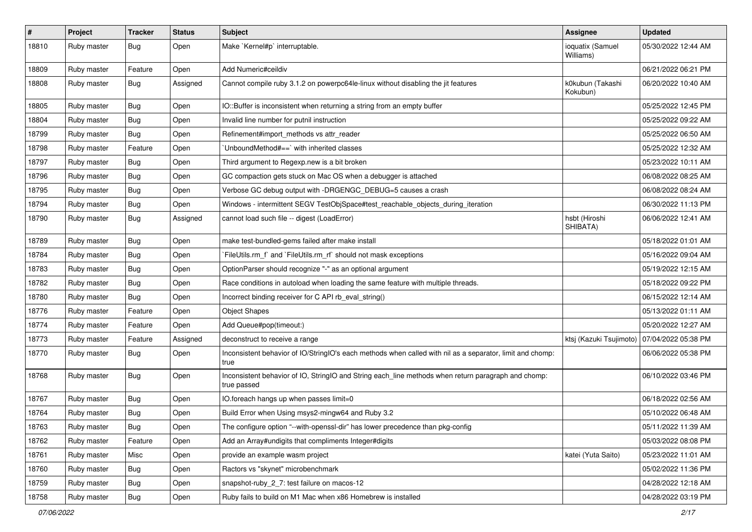| $\pmb{\#}$ | Project     | <b>Tracker</b> | <b>Status</b> | Subject                                                                                                            | Assignee                                      | <b>Updated</b>      |
|------------|-------------|----------------|---------------|--------------------------------------------------------------------------------------------------------------------|-----------------------------------------------|---------------------|
| 18810      | Ruby master | Bug            | Open          | Make `Kernel#p` interruptable.                                                                                     | ioquatix (Samuel<br>Williams)                 | 05/30/2022 12:44 AM |
| 18809      | Ruby master | Feature        | Open          | Add Numeric#ceildiv                                                                                                |                                               | 06/21/2022 06:21 PM |
| 18808      | Ruby master | <b>Bug</b>     | Assigned      | Cannot compile ruby 3.1.2 on powerpc64le-linux without disabling the jit features                                  | k0kubun (Takashi<br>Kokubun)                  | 06/20/2022 10:40 AM |
| 18805      | Ruby master | <b>Bug</b>     | Open          | IO::Buffer is inconsistent when returning a string from an empty buffer                                            |                                               | 05/25/2022 12:45 PM |
| 18804      | Ruby master | <b>Bug</b>     | Open          | Invalid line number for putnil instruction                                                                         |                                               | 05/25/2022 09:22 AM |
| 18799      | Ruby master | <b>Bug</b>     | Open          | Refinement#import_methods vs attr_reader                                                                           |                                               | 05/25/2022 06:50 AM |
| 18798      | Ruby master | Feature        | Open          | 'UnboundMethod#==' with inherited classes                                                                          |                                               | 05/25/2022 12:32 AM |
| 18797      | Ruby master | Bug            | Open          | Third argument to Regexp.new is a bit broken                                                                       |                                               | 05/23/2022 10:11 AM |
| 18796      | Ruby master | <b>Bug</b>     | Open          | GC compaction gets stuck on Mac OS when a debugger is attached                                                     |                                               | 06/08/2022 08:25 AM |
| 18795      | Ruby master | <b>Bug</b>     | Open          | Verbose GC debug output with -DRGENGC_DEBUG=5 causes a crash                                                       |                                               | 06/08/2022 08:24 AM |
| 18794      | Ruby master | <b>Bug</b>     | Open          | Windows - intermittent SEGV TestObjSpace#test_reachable_objects_during_iteration                                   |                                               | 06/30/2022 11:13 PM |
| 18790      | Ruby master | <b>Bug</b>     | Assigned      | cannot load such file -- digest (LoadError)                                                                        | hsbt (Hiroshi<br>SHIBATA)                     | 06/06/2022 12:41 AM |
| 18789      | Ruby master | <b>Bug</b>     | Open          | make test-bundled-gems failed after make install                                                                   |                                               | 05/18/2022 01:01 AM |
| 18784      | Ruby master | <b>Bug</b>     | Open          | `FileUtils.rm_f` and `FileUtils.rm_rf` should not mask exceptions                                                  |                                               | 05/16/2022 09:04 AM |
| 18783      | Ruby master | <b>Bug</b>     | Open          | OptionParser should recognize "-" as an optional argument                                                          |                                               | 05/19/2022 12:15 AM |
| 18782      | Ruby master | <b>Bug</b>     | Open          | Race conditions in autoload when loading the same feature with multiple threads.                                   |                                               | 05/18/2022 09:22 PM |
| 18780      | Ruby master | <b>Bug</b>     | Open          | Incorrect binding receiver for C API rb_eval_string()                                                              |                                               | 06/15/2022 12:14 AM |
| 18776      | Ruby master | Feature        | Open          | <b>Object Shapes</b>                                                                                               |                                               | 05/13/2022 01:11 AM |
| 18774      | Ruby master | Feature        | Open          | Add Queue#pop(timeout:)                                                                                            |                                               | 05/20/2022 12:27 AM |
| 18773      | Ruby master | Feature        | Assigned      | deconstruct to receive a range                                                                                     | ktsj (Kazuki Tsujimoto)   07/04/2022 05:38 PM |                     |
| 18770      | Ruby master | Bug            | Open          | Inconsistent behavior of IO/StringIO's each methods when called with nil as a separator, limit and chomp:<br>true  |                                               | 06/06/2022 05:38 PM |
| 18768      | Ruby master | <b>Bug</b>     | Open          | Inconsistent behavior of IO, StringIO and String each_line methods when return paragraph and chomp:<br>true passed |                                               | 06/10/2022 03:46 PM |
| 18767      | Ruby master | <b>Bug</b>     | Open          | IO.foreach hangs up when passes limit=0                                                                            |                                               | 06/18/2022 02:56 AM |
| 18764      | Ruby master | <b>Bug</b>     | Open          | Build Error when Using msys2-mingw64 and Ruby 3.2                                                                  |                                               | 05/10/2022 06:48 AM |
| 18763      | Ruby master | Bug            | Open          | The configure option "--with-openssI-dir" has lower precedence than pkg-config                                     |                                               | 05/11/2022 11:39 AM |
| 18762      | Ruby master | Feature        | Open          | Add an Array#undigits that compliments Integer#digits                                                              |                                               | 05/03/2022 08:08 PM |
| 18761      | Ruby master | Misc           | Open          | provide an example wasm project                                                                                    | katei (Yuta Saito)                            | 05/23/2022 11:01 AM |
| 18760      | Ruby master | <b>Bug</b>     | Open          | Ractors vs "skynet" microbenchmark                                                                                 |                                               | 05/02/2022 11:36 PM |
| 18759      | Ruby master | <b>Bug</b>     | Open          | snapshot-ruby 2 7: test failure on macos-12                                                                        |                                               | 04/28/2022 12:18 AM |
| 18758      | Ruby master | <b>Bug</b>     | Open          | Ruby fails to build on M1 Mac when x86 Homebrew is installed                                                       |                                               | 04/28/2022 03:19 PM |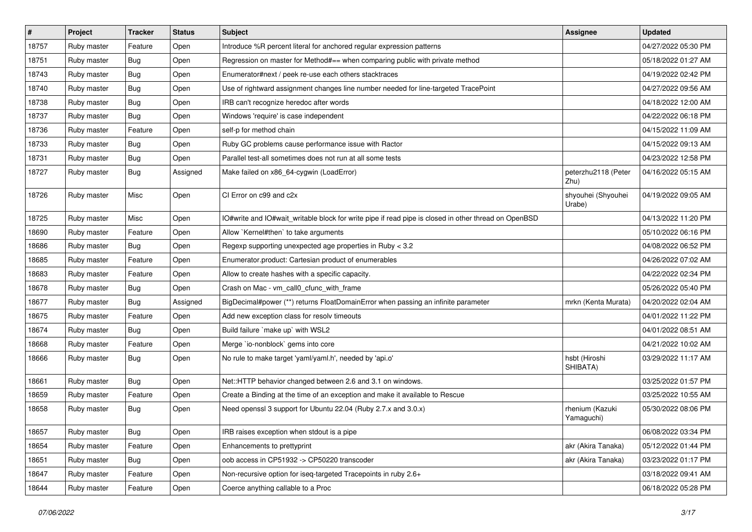| $\vert$ # | Project     | <b>Tracker</b> | <b>Status</b> | Subject                                                                                              | <b>Assignee</b>               | <b>Updated</b>      |
|-----------|-------------|----------------|---------------|------------------------------------------------------------------------------------------------------|-------------------------------|---------------------|
| 18757     | Ruby master | Feature        | Open          | Introduce %R percent literal for anchored regular expression patterns                                |                               | 04/27/2022 05:30 PM |
| 18751     | Ruby master | <b>Bug</b>     | Open          | Regression on master for Method#== when comparing public with private method                         |                               | 05/18/2022 01:27 AM |
| 18743     | Ruby master | Bug            | Open          | Enumerator#next / peek re-use each others stacktraces                                                |                               | 04/19/2022 02:42 PM |
| 18740     | Ruby master | Bug            | Open          | Use of rightward assignment changes line number needed for line-targeted TracePoint                  |                               | 04/27/2022 09:56 AM |
| 18738     | Ruby master | <b>Bug</b>     | Open          | IRB can't recognize heredoc after words                                                              |                               | 04/18/2022 12:00 AM |
| 18737     | Ruby master | Bug            | Open          | Windows 'require' is case independent                                                                |                               | 04/22/2022 06:18 PM |
| 18736     | Ruby master | Feature        | Open          | self-p for method chain                                                                              |                               | 04/15/2022 11:09 AM |
| 18733     | Ruby master | <b>Bug</b>     | Open          | Ruby GC problems cause performance issue with Ractor                                                 |                               | 04/15/2022 09:13 AM |
| 18731     | Ruby master | Bug            | Open          | Parallel test-all sometimes does not run at all some tests                                           |                               | 04/23/2022 12:58 PM |
| 18727     | Ruby master | <b>Bug</b>     | Assigned      | Make failed on x86_64-cygwin (LoadError)                                                             | peterzhu2118 (Peter<br>Zhu)   | 04/16/2022 05:15 AM |
| 18726     | Ruby master | Misc           | Open          | CI Error on c99 and c2x                                                                              | shyouhei (Shyouhei<br>Urabe)  | 04/19/2022 09:05 AM |
| 18725     | Ruby master | Misc           | Open          | IO#write and IO#wait_writable block for write pipe if read pipe is closed in other thread on OpenBSD |                               | 04/13/2022 11:20 PM |
| 18690     | Ruby master | Feature        | Open          | Allow `Kernel#then` to take arguments                                                                |                               | 05/10/2022 06:16 PM |
| 18686     | Ruby master | Bug            | Open          | Regexp supporting unexpected age properties in Ruby < 3.2                                            |                               | 04/08/2022 06:52 PM |
| 18685     | Ruby master | Feature        | Open          | Enumerator.product: Cartesian product of enumerables                                                 |                               | 04/26/2022 07:02 AM |
| 18683     | Ruby master | Feature        | Open          | Allow to create hashes with a specific capacity.                                                     |                               | 04/22/2022 02:34 PM |
| 18678     | Ruby master | <b>Bug</b>     | Open          | Crash on Mac - vm_call0_cfunc_with_frame                                                             |                               | 05/26/2022 05:40 PM |
| 18677     | Ruby master | <b>Bug</b>     | Assigned      | BigDecimal#power (**) returns FloatDomainError when passing an infinite parameter                    | mrkn (Kenta Murata)           | 04/20/2022 02:04 AM |
| 18675     | Ruby master | Feature        | Open          | Add new exception class for resolv timeouts                                                          |                               | 04/01/2022 11:22 PM |
| 18674     | Ruby master | <b>Bug</b>     | Open          | Build failure `make up` with WSL2                                                                    |                               | 04/01/2022 08:51 AM |
| 18668     | Ruby master | Feature        | Open          | Merge `io-nonblock` gems into core                                                                   |                               | 04/21/2022 10:02 AM |
| 18666     | Ruby master | Bug            | Open          | No rule to make target 'yaml/yaml.h', needed by 'api.o'                                              | hsbt (Hiroshi<br>SHIBATA)     | 03/29/2022 11:17 AM |
| 18661     | Ruby master | <b>Bug</b>     | Open          | Net::HTTP behavior changed between 2.6 and 3.1 on windows.                                           |                               | 03/25/2022 01:57 PM |
| 18659     | Ruby master | Feature        | Open          | Create a Binding at the time of an exception and make it available to Rescue                         |                               | 03/25/2022 10:55 AM |
| 18658     | Ruby master | <b>Bug</b>     | Open          | Need openssl 3 support for Ubuntu 22.04 (Ruby 2.7.x and 3.0.x)                                       | rhenium (Kazuki<br>Yamaguchi) | 05/30/2022 08:06 PM |
| 18657     | Ruby master | <b>Bug</b>     | Open          | IRB raises exception when stdout is a pipe                                                           |                               | 06/08/2022 03:34 PM |
| 18654     | Ruby master | Feature        | Open          | Enhancements to prettyprint                                                                          | akr (Akira Tanaka)            | 05/12/2022 01:44 PM |
| 18651     | Ruby master | <b>Bug</b>     | Open          | oob access in CP51932 -> CP50220 transcoder                                                          | akr (Akira Tanaka)            | 03/23/2022 01:17 PM |
| 18647     | Ruby master | Feature        | Open          | Non-recursive option for iseq-targeted Tracepoints in ruby 2.6+                                      |                               | 03/18/2022 09:41 AM |
| 18644     | Ruby master | Feature        | Open          | Coerce anything callable to a Proc                                                                   |                               | 06/18/2022 05:28 PM |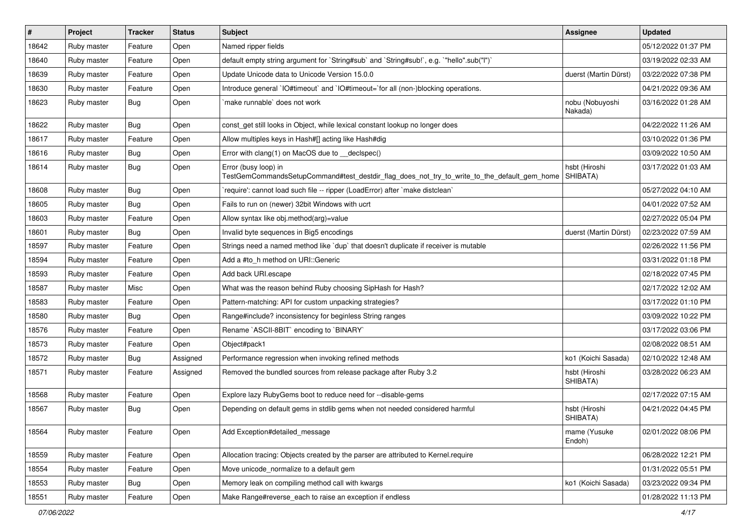| $\vert$ # | Project     | <b>Tracker</b> | <b>Status</b> | Subject                                                                                                             | <b>Assignee</b>            | <b>Updated</b>      |
|-----------|-------------|----------------|---------------|---------------------------------------------------------------------------------------------------------------------|----------------------------|---------------------|
| 18642     | Ruby master | Feature        | Open          | Named ripper fields                                                                                                 |                            | 05/12/2022 01:37 PM |
| 18640     | Ruby master | Feature        | Open          | default empty string argument for `String#sub` and `String#sub!`, e.g. `"hello".sub("I")`                           |                            | 03/19/2022 02:33 AM |
| 18639     | Ruby master | Feature        | Open          | Update Unicode data to Unicode Version 15.0.0                                                                       | duerst (Martin Dürst)      | 03/22/2022 07:38 PM |
| 18630     | Ruby master | Feature        | Open          | Introduce general `IO#timeout` and `IO#timeout=`for all (non-)blocking operations.                                  |                            | 04/21/2022 09:36 AM |
| 18623     | Ruby master | Bug            | Open          | make runnable' does not work                                                                                        | nobu (Nobuyoshi<br>Nakada) | 03/16/2022 01:28 AM |
| 18622     | Ruby master | Bug            | Open          | const_get still looks in Object, while lexical constant lookup no longer does                                       |                            | 04/22/2022 11:26 AM |
| 18617     | Ruby master | Feature        | Open          | Allow multiples keys in Hash#[] acting like Hash#dig                                                                |                            | 03/10/2022 01:36 PM |
| 18616     | Ruby master | Bug            | Open          | Error with clang(1) on MacOS due to __declspec()                                                                    |                            | 03/09/2022 10:50 AM |
| 18614     | Ruby master | <b>Bug</b>     | Open          | Error (busy loop) in<br>TestGemCommandsSetupCommand#test_destdir_flag_does_not_try_to_write_to_the_default_gem_home | hsbt (Hiroshi<br>SHIBATA)  | 03/17/2022 01:03 AM |
| 18608     | Ruby master | Bug            | Open          | 'require': cannot load such file -- ripper (LoadError) after 'make distclean'                                       |                            | 05/27/2022 04:10 AM |
| 18605     | Ruby master | <b>Bug</b>     | Open          | Fails to run on (newer) 32bit Windows with ucrt                                                                     |                            | 04/01/2022 07:52 AM |
| 18603     | Ruby master | Feature        | Open          | Allow syntax like obj.method(arg)=value                                                                             |                            | 02/27/2022 05:04 PM |
| 18601     | Ruby master | Bug            | Open          | Invalid byte sequences in Big5 encodings                                                                            | duerst (Martin Dürst)      | 02/23/2022 07:59 AM |
| 18597     | Ruby master | Feature        | Open          | Strings need a named method like 'dup' that doesn't duplicate if receiver is mutable                                |                            | 02/26/2022 11:56 PM |
| 18594     | Ruby master | Feature        | Open          | Add a #to_h method on URI::Generic                                                                                  |                            | 03/31/2022 01:18 PM |
| 18593     | Ruby master | Feature        | Open          | Add back URI.escape                                                                                                 |                            | 02/18/2022 07:45 PM |
| 18587     | Ruby master | Misc           | Open          | What was the reason behind Ruby choosing SipHash for Hash?                                                          |                            | 02/17/2022 12:02 AM |
| 18583     | Ruby master | Feature        | Open          | Pattern-matching: API for custom unpacking strategies?                                                              |                            | 03/17/2022 01:10 PM |
| 18580     | Ruby master | <b>Bug</b>     | Open          | Range#include? inconsistency for beginless String ranges                                                            |                            | 03/09/2022 10:22 PM |
| 18576     | Ruby master | Feature        | Open          | Rename `ASCII-8BIT` encoding to `BINARY`                                                                            |                            | 03/17/2022 03:06 PM |
| 18573     | Ruby master | Feature        | Open          | Object#pack1                                                                                                        |                            | 02/08/2022 08:51 AM |
| 18572     | Ruby master | <b>Bug</b>     | Assigned      | Performance regression when invoking refined methods                                                                | ko1 (Koichi Sasada)        | 02/10/2022 12:48 AM |
| 18571     | Ruby master | Feature        | Assigned      | Removed the bundled sources from release package after Ruby 3.2                                                     | hsbt (Hiroshi<br>SHIBATA)  | 03/28/2022 06:23 AM |
| 18568     | Ruby master | Feature        | Open          | Explore lazy RubyGems boot to reduce need for --disable-gems                                                        |                            | 02/17/2022 07:15 AM |
| 18567     | Ruby master | Bug            | Open          | Depending on default gems in stdlib gems when not needed considered harmful                                         | hsbt (Hiroshi<br>SHIBATA)  | 04/21/2022 04:45 PM |
| 18564     | Ruby master | Feature        | Open          | Add Exception#detailed_message                                                                                      | mame (Yusuke<br>Endoh)     | 02/01/2022 08:06 PM |
| 18559     | Ruby master | Feature        | Open          | Allocation tracing: Objects created by the parser are attributed to Kernel.require                                  |                            | 06/28/2022 12:21 PM |
| 18554     | Ruby master | Feature        | Open          | Move unicode_normalize to a default gem                                                                             |                            | 01/31/2022 05:51 PM |
| 18553     | Ruby master | Bug            | Open          | Memory leak on compiling method call with kwargs                                                                    | ko1 (Koichi Sasada)        | 03/23/2022 09:34 PM |
| 18551     | Ruby master | Feature        | Open          | Make Range#reverse_each to raise an exception if endless                                                            |                            | 01/28/2022 11:13 PM |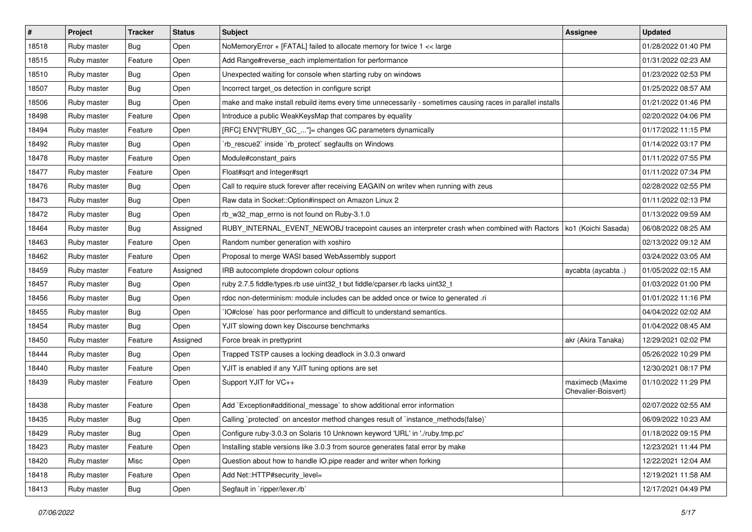| $\vert$ # | Project     | <b>Tracker</b> | <b>Status</b> | Subject                                                                                                     | Assignee                                | <b>Updated</b>      |
|-----------|-------------|----------------|---------------|-------------------------------------------------------------------------------------------------------------|-----------------------------------------|---------------------|
| 18518     | Ruby master | <b>Bug</b>     | Open          | NoMemoryError + [FATAL] failed to allocate memory for twice 1 << large                                      |                                         | 01/28/2022 01:40 PM |
| 18515     | Ruby master | Feature        | Open          | Add Range#reverse_each implementation for performance                                                       |                                         | 01/31/2022 02:23 AM |
| 18510     | Ruby master | Bug            | Open          | Unexpected waiting for console when starting ruby on windows                                                |                                         | 01/23/2022 02:53 PM |
| 18507     | Ruby master | <b>Bug</b>     | Open          | Incorrect target_os detection in configure script                                                           |                                         | 01/25/2022 08:57 AM |
| 18506     | Ruby master | <b>Bug</b>     | Open          | make and make install rebuild items every time unnecessarily - sometimes causing races in parallel installs |                                         | 01/21/2022 01:46 PM |
| 18498     | Ruby master | Feature        | Open          | Introduce a public WeakKeysMap that compares by equality                                                    |                                         | 02/20/2022 04:06 PM |
| 18494     | Ruby master | Feature        | Open          | [RFC] ENV["RUBY_GC_"]= changes GC parameters dynamically                                                    |                                         | 01/17/2022 11:15 PM |
| 18492     | Ruby master | Bug            | Open          | 'rb_rescue2' inside 'rb_protect' segfaults on Windows                                                       |                                         | 01/14/2022 03:17 PM |
| 18478     | Ruby master | Feature        | Open          | Module#constant_pairs                                                                                       |                                         | 01/11/2022 07:55 PM |
| 18477     | Ruby master | Feature        | Open          | Float#sqrt and Integer#sqrt                                                                                 |                                         | 01/11/2022 07:34 PM |
| 18476     | Ruby master | <b>Bug</b>     | Open          | Call to require stuck forever after receiving EAGAIN on writev when running with zeus                       |                                         | 02/28/2022 02:55 PM |
| 18473     | Ruby master | Bug            | Open          | Raw data in Socket::Option#inspect on Amazon Linux 2                                                        |                                         | 01/11/2022 02:13 PM |
| 18472     | Ruby master | <b>Bug</b>     | Open          | rb_w32_map_errno is not found on Ruby-3.1.0                                                                 |                                         | 01/13/2022 09:59 AM |
| 18464     | Ruby master | <b>Bug</b>     | Assigned      | RUBY_INTERNAL_EVENT_NEWOBJ tracepoint causes an interpreter crash when combined with Ractors                | ko1 (Koichi Sasada)                     | 06/08/2022 08:25 AM |
| 18463     | Ruby master | Feature        | Open          | Random number generation with xoshiro                                                                       |                                         | 02/13/2022 09:12 AM |
| 18462     | Ruby master | Feature        | Open          | Proposal to merge WASI based WebAssembly support                                                            |                                         | 03/24/2022 03:05 AM |
| 18459     | Ruby master | Feature        | Assigned      | IRB autocomplete dropdown colour options                                                                    | aycabta (aycabta.)                      | 01/05/2022 02:15 AM |
| 18457     | Ruby master | <b>Bug</b>     | Open          | ruby 2.7.5 fiddle/types.rb use uint32_t but fiddle/cparser.rb lacks uint32_t                                |                                         | 01/03/2022 01:00 PM |
| 18456     | Ruby master | <b>Bug</b>     | Open          | rdoc non-determinism: module includes can be added once or twice to generated .ri                           |                                         | 01/01/2022 11:16 PM |
| 18455     | Ruby master | <b>Bug</b>     | Open          | IO#close` has poor performance and difficult to understand semantics.                                       |                                         | 04/04/2022 02:02 AM |
| 18454     | Ruby master | Bug            | Open          | YJIT slowing down key Discourse benchmarks                                                                  |                                         | 01/04/2022 08:45 AM |
| 18450     | Ruby master | Feature        | Assigned      | Force break in prettyprint                                                                                  | akr (Akira Tanaka)                      | 12/29/2021 02:02 PM |
| 18444     | Ruby master | Bug            | Open          | Trapped TSTP causes a locking deadlock in 3.0.3 onward                                                      |                                         | 05/26/2022 10:29 PM |
| 18440     | Ruby master | Feature        | Open          | YJIT is enabled if any YJIT tuning options are set                                                          |                                         | 12/30/2021 08:17 PM |
| 18439     | Ruby master | Feature        | Open          | Support YJIT for VC++                                                                                       | maximecb (Maxime<br>Chevalier-Boisvert) | 01/10/2022 11:29 PM |
| 18438     | Ruby master | Feature        | Open          | Add `Exception#additional_message` to show additional error information                                     |                                         | 02/07/2022 02:55 AM |
| 18435     | Ruby master | <b>Bug</b>     | Open          | Calling `protected` on ancestor method changes result of `instance_methods(false)`                          |                                         | 06/09/2022 10:23 AM |
| 18429     | Ruby master | <b>Bug</b>     | Open          | Configure ruby-3.0.3 on Solaris 10 Unknown keyword 'URL' in './ruby.tmp.pc'                                 |                                         | 01/18/2022 09:15 PM |
| 18423     | Ruby master | Feature        | Open          | Installing stable versions like 3.0.3 from source generates fatal error by make                             |                                         | 12/23/2021 11:44 PM |
| 18420     | Ruby master | Misc           | Open          | Question about how to handle IO.pipe reader and writer when forking                                         |                                         | 12/22/2021 12:04 AM |
| 18418     | Ruby master | Feature        | Open          | Add Net::HTTP#security_level=                                                                               |                                         | 12/19/2021 11:58 AM |
| 18413     | Ruby master | <b>Bug</b>     | Open          | Segfault in `ripper/lexer.rb`                                                                               |                                         | 12/17/2021 04:49 PM |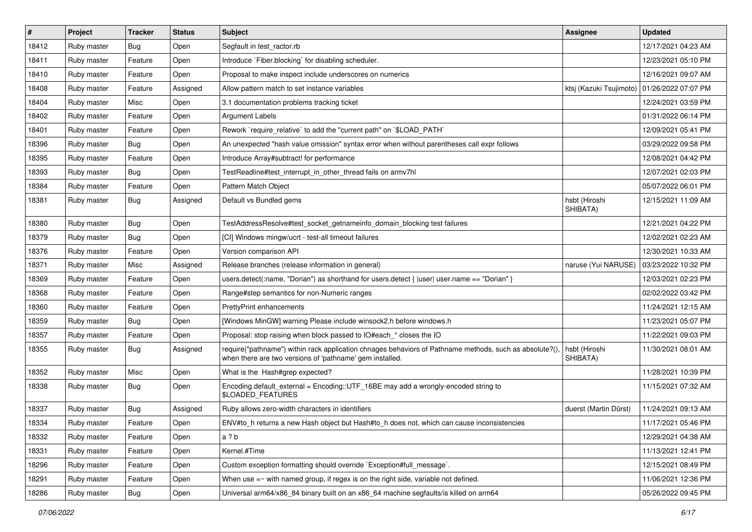| #     | Project     | <b>Tracker</b> | <b>Status</b> | <b>Subject</b>                                                                                                                                                      | Assignee                                      | <b>Updated</b>      |
|-------|-------------|----------------|---------------|---------------------------------------------------------------------------------------------------------------------------------------------------------------------|-----------------------------------------------|---------------------|
| 18412 | Ruby master | Bug            | Open          | Segfault in test_ractor.rb                                                                                                                                          |                                               | 12/17/2021 04:23 AM |
| 18411 | Ruby master | Feature        | Open          | Introduce `Fiber.blocking` for disabling scheduler.                                                                                                                 |                                               | 12/23/2021 05:10 PM |
| 18410 | Ruby master | Feature        | Open          | Proposal to make inspect include underscores on numerics                                                                                                            |                                               | 12/16/2021 09:07 AM |
| 18408 | Ruby master | Feature        | Assigned      | Allow pattern match to set instance variables                                                                                                                       | ktsj (Kazuki Tsujimoto)   01/26/2022 07:07 PM |                     |
| 18404 | Ruby master | Misc           | Open          | 3.1 documentation problems tracking ticket                                                                                                                          |                                               | 12/24/2021 03:59 PM |
| 18402 | Ruby master | Feature        | Open          | <b>Argument Labels</b>                                                                                                                                              |                                               | 01/31/2022 06:14 PM |
| 18401 | Ruby master | Feature        | Open          | Rework `require_relative` to add the "current path" on `\$LOAD_PATH`                                                                                                |                                               | 12/09/2021 05:41 PM |
| 18396 | Ruby master | <b>Bug</b>     | Open          | An unexpected "hash value omission" syntax error when without parentheses call expr follows                                                                         |                                               | 03/29/2022 09:58 PM |
| 18395 | Ruby master | Feature        | Open          | Introduce Array#subtract! for performance                                                                                                                           |                                               | 12/08/2021 04:42 PM |
| 18393 | Ruby master | <b>Bug</b>     | Open          | TestReadline#test_interrupt_in_other_thread fails on armv7hl                                                                                                        |                                               | 12/07/2021 02:03 PM |
| 18384 | Ruby master | Feature        | Open          | Pattern Match Object                                                                                                                                                |                                               | 05/07/2022 06:01 PM |
| 18381 | Ruby master | Bug            | Assigned      | Default vs Bundled gems                                                                                                                                             | hsbt (Hiroshi<br>SHIBATA)                     | 12/15/2021 11:09 AM |
| 18380 | Ruby master | Bug            | Open          | TestAddressResolve#test_socket_getnameinfo_domain_blocking test failures                                                                                            |                                               | 12/21/2021 04:22 PM |
| 18379 | Ruby master | <b>Bug</b>     | Open          | [CI] Windows mingw/ucrt - test-all timeout failures                                                                                                                 |                                               | 12/02/2021 02:23 AM |
| 18376 | Ruby master | Feature        | Open          | Version comparison API                                                                                                                                              |                                               | 12/30/2021 10:33 AM |
| 18371 | Ruby master | Misc           | Assigned      | Release branches (release information in general)                                                                                                                   | naruse (Yui NARUSE)                           | 03/23/2022 10:32 PM |
| 18369 | Ruby master | Feature        | Open          | users.detect(:name, "Dorian") as shorthand for users.detect {  user  user.name == "Dorian" }                                                                        |                                               | 12/03/2021 02:23 PM |
| 18368 | Ruby master | Feature        | Open          | Range#step semantics for non-Numeric ranges                                                                                                                         |                                               | 02/02/2022 03:42 PM |
| 18360 | Ruby master | Feature        | Open          | <b>PrettyPrint enhancements</b>                                                                                                                                     |                                               | 11/24/2021 12:15 AM |
| 18359 | Ruby master | <b>Bug</b>     | Open          | [Windows MinGW] warning Please include winsock2.h before windows.h                                                                                                  |                                               | 11/23/2021 05:07 PM |
| 18357 | Ruby master | Feature        | Open          | Proposal: stop raising when block passed to IO#each_* closes the IO                                                                                                 |                                               | 11/22/2021 09:03 PM |
| 18355 | Ruby master | <b>Bug</b>     | Assigned      | require("pathname") within rack application chnages behaviors of Pathname methods, such as absolute?(),<br>when there are two versions of 'pathname' gem installed. | hsbt (Hiroshi<br>SHIBATA)                     | 11/30/2021 08:01 AM |
| 18352 | Ruby master | Misc           | Open          | What is the Hash#grep expected?                                                                                                                                     |                                               | 11/28/2021 10:39 PM |
| 18338 | Ruby master | <b>Bug</b>     | Open          | Encoding.default_external = Encoding::UTF_16BE may add a wrongly-encoded string to<br>\$LOADED_FEATURES                                                             |                                               | 11/15/2021 07:32 AM |
| 18337 | Ruby master | <b>Bug</b>     | Assigned      | Ruby allows zero-width characters in identifiers                                                                                                                    | duerst (Martin Dürst)                         | 11/24/2021 09:13 AM |
| 18334 | Ruby master | Feature        | Open          | ENV#to_h returns a new Hash object but Hash#to_h does not, which can cause inconsistencies                                                                          |                                               | 11/17/2021 05:46 PM |
| 18332 | Ruby master | Feature        | Open          | a ? b                                                                                                                                                               |                                               | 12/29/2021 04:38 AM |
| 18331 | Ruby master | Feature        | Open          | Kernel.#Time                                                                                                                                                        |                                               | 11/13/2021 12:41 PM |
| 18296 | Ruby master | Feature        | Open          | Custom exception formatting should override `Exception#full_message`.                                                                                               |                                               | 12/15/2021 08:49 PM |
| 18291 | Ruby master | Feature        | Open          | When use $=\sim$ with named group, if regex is on the right side, variable not defined.                                                                             |                                               | 11/06/2021 12:36 PM |
| 18286 | Ruby master | Bug            | Open          | Universal arm64/x86_84 binary built on an x86_64 machine segfaults/is killed on arm64                                                                               |                                               | 05/26/2022 09:45 PM |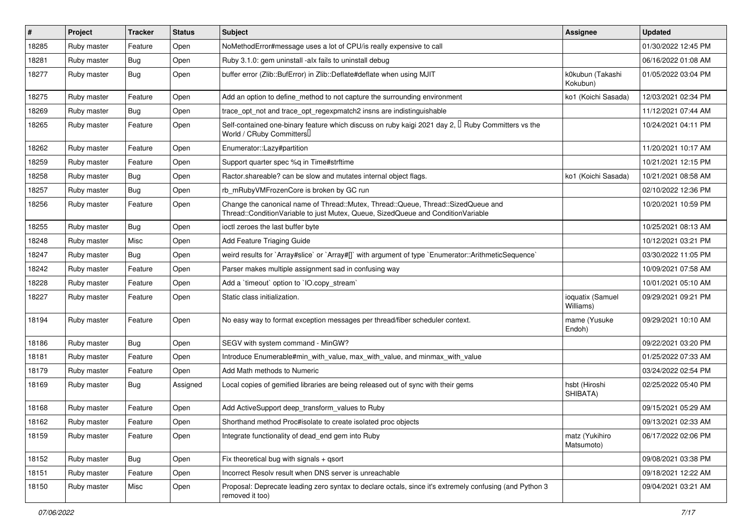| $\vert$ # | Project     | <b>Tracker</b> | <b>Status</b> | Subject                                                                                                                                                               | <b>Assignee</b>               | <b>Updated</b>      |
|-----------|-------------|----------------|---------------|-----------------------------------------------------------------------------------------------------------------------------------------------------------------------|-------------------------------|---------------------|
| 18285     | Ruby master | Feature        | Open          | NoMethodError#message uses a lot of CPU/is really expensive to call                                                                                                   |                               | 01/30/2022 12:45 PM |
| 18281     | Ruby master | <b>Bug</b>     | Open          | Ruby 3.1.0: gem uninstall -alx fails to uninstall debug                                                                                                               |                               | 06/16/2022 01:08 AM |
| 18277     | Ruby master | Bug            | Open          | buffer error (Zlib::BufError) in Zlib::Deflate#deflate when using MJIT                                                                                                | k0kubun (Takashi<br>Kokubun)  | 01/05/2022 03:04 PM |
| 18275     | Ruby master | Feature        | Open          | Add an option to define_method to not capture the surrounding environment                                                                                             | ko1 (Koichi Sasada)           | 12/03/2021 02:34 PM |
| 18269     | Ruby master | <b>Bug</b>     | Open          | trace_opt_not and trace_opt_regexpmatch2 insns are indistinguishable                                                                                                  |                               | 11/12/2021 07:44 AM |
| 18265     | Ruby master | Feature        | Open          | Self-contained one-binary feature which discuss on ruby kaigi 2021 day 2, $\Box$ Ruby Committers vs the<br>World / CRuby Committers                                   |                               | 10/24/2021 04:11 PM |
| 18262     | Ruby master | Feature        | Open          | Enumerator::Lazy#partition                                                                                                                                            |                               | 11/20/2021 10:17 AM |
| 18259     | Ruby master | Feature        | Open          | Support quarter spec %q in Time#strftime                                                                                                                              |                               | 10/21/2021 12:15 PM |
| 18258     | Ruby master | <b>Bug</b>     | Open          | Ractor shareable? can be slow and mutates internal object flags.                                                                                                      | ko1 (Koichi Sasada)           | 10/21/2021 08:58 AM |
| 18257     | Ruby master | Bug            | Open          | rb_mRubyVMFrozenCore is broken by GC run                                                                                                                              |                               | 02/10/2022 12:36 PM |
| 18256     | Ruby master | Feature        | Open          | Change the canonical name of Thread::Mutex, Thread::Queue, Thread::SizedQueue and<br>Thread::ConditionVariable to just Mutex, Queue, SizedQueue and ConditionVariable |                               | 10/20/2021 10:59 PM |
| 18255     | Ruby master | <b>Bug</b>     | Open          | ioctl zeroes the last buffer byte                                                                                                                                     |                               | 10/25/2021 08:13 AM |
| 18248     | Ruby master | Misc           | Open          | Add Feature Triaging Guide                                                                                                                                            |                               | 10/12/2021 03:21 PM |
| 18247     | Ruby master | <b>Bug</b>     | Open          | weird results for `Array#slice` or `Array#[]` with argument of type `Enumerator::ArithmeticSequence`                                                                  |                               | 03/30/2022 11:05 PM |
| 18242     | Ruby master | Feature        | Open          | Parser makes multiple assignment sad in confusing way                                                                                                                 |                               | 10/09/2021 07:58 AM |
| 18228     | Ruby master | Feature        | Open          | Add a 'timeout' option to 'IO.copy_stream'                                                                                                                            |                               | 10/01/2021 05:10 AM |
| 18227     | Ruby master | Feature        | Open          | Static class initialization.                                                                                                                                          | ioquatix (Samuel<br>Williams) | 09/29/2021 09:21 PM |
| 18194     | Ruby master | Feature        | Open          | No easy way to format exception messages per thread/fiber scheduler context.                                                                                          | mame (Yusuke<br>Endoh)        | 09/29/2021 10:10 AM |
| 18186     | Ruby master | Bug            | Open          | SEGV with system command - MinGW?                                                                                                                                     |                               | 09/22/2021 03:20 PM |
| 18181     | Ruby master | Feature        | Open          | Introduce Enumerable#min_with_value, max_with_value, and minmax_with_value                                                                                            |                               | 01/25/2022 07:33 AM |
| 18179     | Ruby master | Feature        | Open          | Add Math methods to Numeric                                                                                                                                           |                               | 03/24/2022 02:54 PM |
| 18169     | Ruby master | Bug            | Assigned      | Local copies of gemified libraries are being released out of sync with their gems                                                                                     | hsbt (Hiroshi<br>SHIBATA)     | 02/25/2022 05:40 PM |
| 18168     | Ruby master | Feature        | Open          | Add ActiveSupport deep_transform_values to Ruby                                                                                                                       |                               | 09/15/2021 05:29 AM |
| 18162     | Ruby master | Feature        | Open          | Shorthand method Proc#isolate to create isolated proc objects                                                                                                         |                               | 09/13/2021 02:33 AM |
| 18159     | Ruby master | Feature        | Open          | Integrate functionality of dead end gem into Ruby                                                                                                                     | matz (Yukihiro<br>Matsumoto)  | 06/17/2022 02:06 PM |
| 18152     | Ruby master | Bug            | Open          | Fix theoretical bug with signals + qsort                                                                                                                              |                               | 09/08/2021 03:38 PM |
| 18151     | Ruby master | Feature        | Open          | Incorrect Resolv result when DNS server is unreachable                                                                                                                |                               | 09/18/2021 12:22 AM |
| 18150     | Ruby master | Misc           | Open          | Proposal: Deprecate leading zero syntax to declare octals, since it's extremely confusing (and Python 3<br>removed it too)                                            |                               | 09/04/2021 03:21 AM |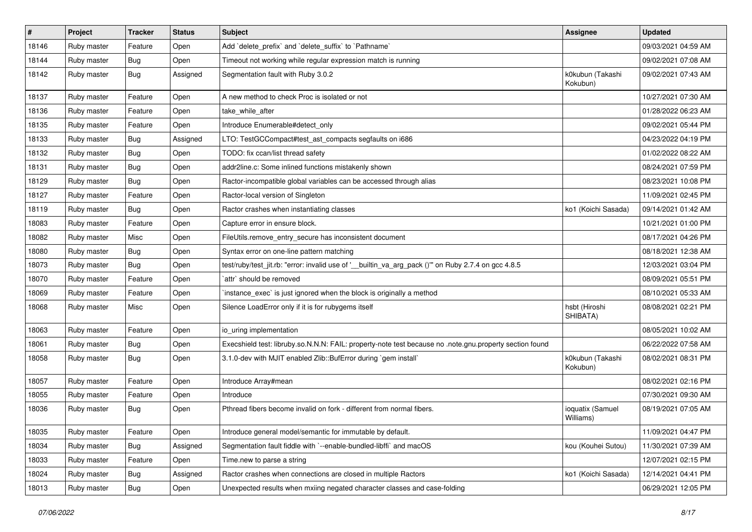| $\vert$ # | Project     | <b>Tracker</b> | <b>Status</b> | Subject                                                                                                 | <b>Assignee</b>               | <b>Updated</b>      |
|-----------|-------------|----------------|---------------|---------------------------------------------------------------------------------------------------------|-------------------------------|---------------------|
| 18146     | Ruby master | Feature        | Open          | Add 'delete_prefix' and 'delete_suffix' to 'Pathname'                                                   |                               | 09/03/2021 04:59 AM |
| 18144     | Ruby master | <b>Bug</b>     | Open          | Timeout not working while regular expression match is running                                           |                               | 09/02/2021 07:08 AM |
| 18142     | Ruby master | Bug            | Assigned      | Segmentation fault with Ruby 3.0.2                                                                      | k0kubun (Takashi<br>Kokubun)  | 09/02/2021 07:43 AM |
| 18137     | Ruby master | Feature        | Open          | A new method to check Proc is isolated or not                                                           |                               | 10/27/2021 07:30 AM |
| 18136     | Ruby master | Feature        | Open          | take_while_after                                                                                        |                               | 01/28/2022 06:23 AM |
| 18135     | Ruby master | Feature        | Open          | Introduce Enumerable#detect_only                                                                        |                               | 09/02/2021 05:44 PM |
| 18133     | Ruby master | <b>Bug</b>     | Assigned      | LTO: TestGCCompact#test_ast_compacts segfaults on i686                                                  |                               | 04/23/2022 04:19 PM |
| 18132     | Ruby master | <b>Bug</b>     | Open          | TODO: fix ccan/list thread safety                                                                       |                               | 01/02/2022 08:22 AM |
| 18131     | Ruby master | <b>Bug</b>     | Open          | addr2line.c: Some inlined functions mistakenly shown                                                    |                               | 08/24/2021 07:59 PM |
| 18129     | Ruby master | Bug            | Open          | Ractor-incompatible global variables can be accessed through alias                                      |                               | 08/23/2021 10:08 PM |
| 18127     | Ruby master | Feature        | Open          | Ractor-local version of Singleton                                                                       |                               | 11/09/2021 02:45 PM |
| 18119     | Ruby master | <b>Bug</b>     | Open          | Ractor crashes when instantiating classes                                                               | ko1 (Koichi Sasada)           | 09/14/2021 01:42 AM |
| 18083     | Ruby master | Feature        | Open          | Capture error in ensure block.                                                                          |                               | 10/21/2021 01:00 PM |
| 18082     | Ruby master | Misc           | Open          | FileUtils.remove_entry_secure has inconsistent document                                                 |                               | 08/17/2021 04:26 PM |
| 18080     | Ruby master | Bug            | Open          | Syntax error on one-line pattern matching                                                               |                               | 08/18/2021 12:38 AM |
| 18073     | Ruby master | <b>Bug</b>     | Open          | test/ruby/test_jit.rb: "error: invalid use of '__builtin_va_arg_pack ()"" on Ruby 2.7.4 on gcc 4.8.5    |                               | 12/03/2021 03:04 PM |
| 18070     | Ruby master | Feature        | Open          | `attr` should be removed                                                                                |                               | 08/09/2021 05:51 PM |
| 18069     | Ruby master | Feature        | Open          | instance_exec` is just ignored when the block is originally a method                                    |                               | 08/10/2021 05:33 AM |
| 18068     | Ruby master | Misc           | Open          | Silence LoadError only if it is for rubygems itself                                                     | hsbt (Hiroshi<br>SHIBATA)     | 08/08/2021 02:21 PM |
| 18063     | Ruby master | Feature        | Open          | io_uring implementation                                                                                 |                               | 08/05/2021 10:02 AM |
| 18061     | Ruby master | <b>Bug</b>     | Open          | Execshield test: libruby.so.N.N.N: FAIL: property-note test because no .note.gnu.property section found |                               | 06/22/2022 07:58 AM |
| 18058     | Ruby master | <b>Bug</b>     | Open          | 3.1.0-dev with MJIT enabled Zlib::BufError during `gem install`                                         | k0kubun (Takashi<br>Kokubun)  | 08/02/2021 08:31 PM |
| 18057     | Ruby master | Feature        | Open          | Introduce Array#mean                                                                                    |                               | 08/02/2021 02:16 PM |
| 18055     | Ruby master | Feature        | Open          | Introduce                                                                                               |                               | 07/30/2021 09:30 AM |
| 18036     | Ruby master | <b>Bug</b>     | Open          | Pthread fibers become invalid on fork - different from normal fibers.                                   | ioquatix (Samuel<br>Williams) | 08/19/2021 07:05 AM |
| 18035     | Ruby master | Feature        | Open          | Introduce general model/semantic for immutable by default.                                              |                               | 11/09/2021 04:47 PM |
| 18034     | Ruby master | <b>Bug</b>     | Assigned      | Segmentation fault fiddle with `--enable-bundled-libffi` and macOS                                      | kou (Kouhei Sutou)            | 11/30/2021 07:39 AM |
| 18033     | Ruby master | Feature        | Open          | Time.new to parse a string                                                                              |                               | 12/07/2021 02:15 PM |
| 18024     | Ruby master | <b>Bug</b>     | Assigned      | Ractor crashes when connections are closed in multiple Ractors                                          | ko1 (Koichi Sasada)           | 12/14/2021 04:41 PM |
| 18013     | Ruby master | <b>Bug</b>     | Open          | Unexpected results when mxiing negated character classes and case-folding                               |                               | 06/29/2021 12:05 PM |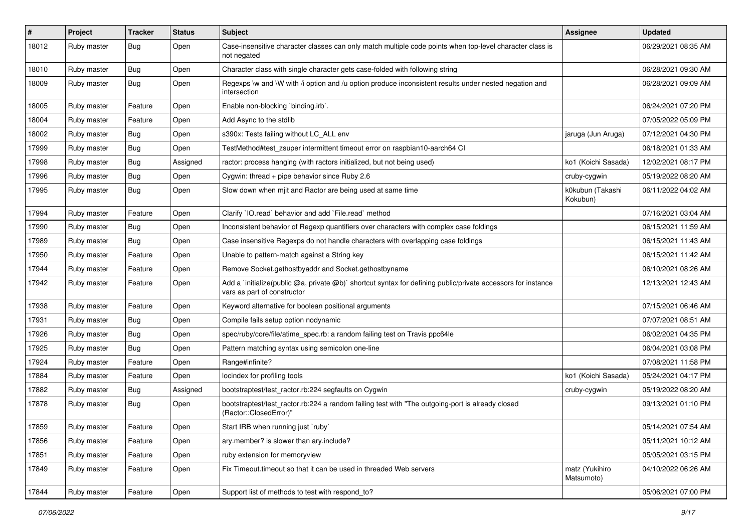| #     | Project     | <b>Tracker</b> | <b>Status</b> | Subject                                                                                                                                     | <b>Assignee</b>              | <b>Updated</b>      |
|-------|-------------|----------------|---------------|---------------------------------------------------------------------------------------------------------------------------------------------|------------------------------|---------------------|
| 18012 | Ruby master | <b>Bug</b>     | Open          | Case-insensitive character classes can only match multiple code points when top-level character class is<br>not negated                     |                              | 06/29/2021 08:35 AM |
| 18010 | Ruby master | <b>Bug</b>     | Open          | Character class with single character gets case-folded with following string                                                                |                              | 06/28/2021 09:30 AM |
| 18009 | Ruby master | <b>Bug</b>     | Open          | Regexps \w and \W with /i option and /u option produce inconsistent results under nested negation and<br>intersection                       |                              | 06/28/2021 09:09 AM |
| 18005 | Ruby master | Feature        | Open          | Enable non-blocking 'binding.irb'.                                                                                                          |                              | 06/24/2021 07:20 PM |
| 18004 | Ruby master | Feature        | Open          | Add Async to the stdlib                                                                                                                     |                              | 07/05/2022 05:09 PM |
| 18002 | Ruby master | <b>Bug</b>     | Open          | s390x: Tests failing without LC_ALL env                                                                                                     | jaruga (Jun Aruga)           | 07/12/2021 04:30 PM |
| 17999 | Ruby master | <b>Bug</b>     | Open          | TestMethod#test zsuper intermittent timeout error on raspbian10-aarch64 CI                                                                  |                              | 06/18/2021 01:33 AM |
| 17998 | Ruby master | <b>Bug</b>     | Assigned      | ractor: process hanging (with ractors initialized, but not being used)                                                                      | ko1 (Koichi Sasada)          | 12/02/2021 08:17 PM |
| 17996 | Ruby master | <b>Bug</b>     | Open          | Cygwin: thread + pipe behavior since Ruby 2.6                                                                                               | cruby-cygwin                 | 05/19/2022 08:20 AM |
| 17995 | Ruby master | <b>Bug</b>     | Open          | Slow down when mjit and Ractor are being used at same time                                                                                  | k0kubun (Takashi<br>Kokubun) | 06/11/2022 04:02 AM |
| 17994 | Ruby master | Feature        | Open          | Clarify 'IO.read' behavior and add 'File.read' method                                                                                       |                              | 07/16/2021 03:04 AM |
| 17990 | Ruby master | <b>Bug</b>     | Open          | Inconsistent behavior of Regexp quantifiers over characters with complex case foldings                                                      |                              | 06/15/2021 11:59 AM |
| 17989 | Ruby master | <b>Bug</b>     | Open          | Case insensitive Regexps do not handle characters with overlapping case foldings                                                            |                              | 06/15/2021 11:43 AM |
| 17950 | Ruby master | Feature        | Open          | Unable to pattern-match against a String key                                                                                                |                              | 06/15/2021 11:42 AM |
| 17944 | Ruby master | Feature        | Open          | Remove Socket.gethostbyaddr and Socket.gethostbyname                                                                                        |                              | 06/10/2021 08:26 AM |
| 17942 | Ruby master | Feature        | Open          | Add a `initialize(public @a, private @b)` shortcut syntax for defining public/private accessors for instance<br>vars as part of constructor |                              | 12/13/2021 12:43 AM |
| 17938 | Ruby master | Feature        | Open          | Keyword alternative for boolean positional arguments                                                                                        |                              | 07/15/2021 06:46 AM |
| 17931 | Ruby master | <b>Bug</b>     | Open          | Compile fails setup option nodynamic                                                                                                        |                              | 07/07/2021 08:51 AM |
| 17926 | Ruby master | Bug            | Open          | spec/ruby/core/file/atime_spec.rb: a random failing test on Travis ppc64le                                                                  |                              | 06/02/2021 04:35 PM |
| 17925 | Ruby master | <b>Bug</b>     | Open          | Pattern matching syntax using semicolon one-line                                                                                            |                              | 06/04/2021 03:08 PM |
| 17924 | Ruby master | Feature        | Open          | Range#infinite?                                                                                                                             |                              | 07/08/2021 11:58 PM |
| 17884 | Ruby master | Feature        | Open          | locindex for profiling tools                                                                                                                | ko1 (Koichi Sasada)          | 05/24/2021 04:17 PM |
| 17882 | Ruby master | Bug            | Assigned      | bootstraptest/test_ractor.rb:224 segfaults on Cygwin                                                                                        | cruby-cygwin                 | 05/19/2022 08:20 AM |
| 17878 | Ruby master | Bug            | Open          | bootstraptest/test_ractor.rb:224 a random failing test with "The outgoing-port is already closed<br>(Ractor::ClosedError)"                  |                              | 09/13/2021 01:10 PM |
| 17859 | Ruby master | Feature        | Open          | Start IRB when running just `ruby`                                                                                                          |                              | 05/14/2021 07:54 AM |
| 17856 | Ruby master | Feature        | Open          | ary.member? is slower than ary.include?                                                                                                     |                              | 05/11/2021 10:12 AM |
| 17851 | Ruby master | Feature        | Open          | ruby extension for memoryview                                                                                                               |                              | 05/05/2021 03:15 PM |
| 17849 | Ruby master | Feature        | Open          | Fix Timeout.timeout so that it can be used in threaded Web servers                                                                          | matz (Yukihiro<br>Matsumoto) | 04/10/2022 06:26 AM |
| 17844 | Ruby master | Feature        | Open          | Support list of methods to test with respond to?                                                                                            |                              | 05/06/2021 07:00 PM |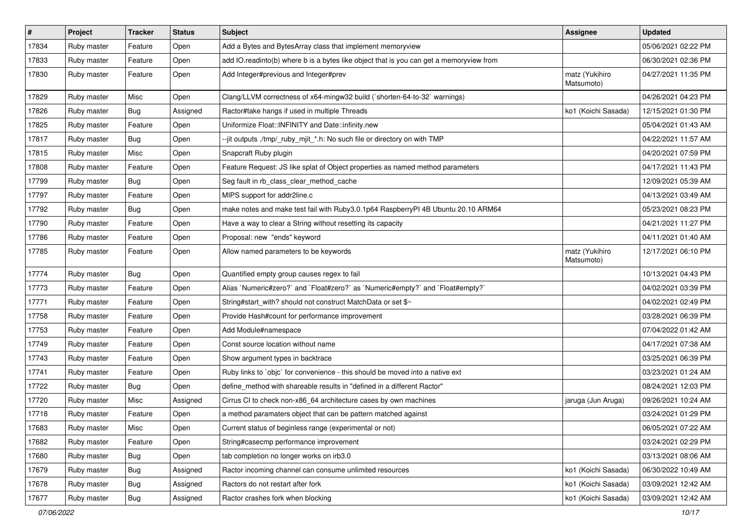| $\sharp$ | Project     | <b>Tracker</b> | <b>Status</b> | <b>Subject</b>                                                                          | Assignee                     | <b>Updated</b>      |
|----------|-------------|----------------|---------------|-----------------------------------------------------------------------------------------|------------------------------|---------------------|
| 17834    | Ruby master | Feature        | Open          | Add a Bytes and BytesArray class that implement memoryview                              |                              | 05/06/2021 02:22 PM |
| 17833    | Ruby master | Feature        | Open          | add IO.readinto(b) where b is a bytes like object that is you can get a memoryview from |                              | 06/30/2021 02:36 PM |
| 17830    | Ruby master | Feature        | Open          | Add Integer#previous and Integer#prev                                                   | matz (Yukihiro<br>Matsumoto) | 04/27/2021 11:35 PM |
| 17829    | Ruby master | Misc           | Open          | Clang/LLVM correctness of x64-mingw32 build (`shorten-64-to-32` warnings)               |                              | 04/26/2021 04:23 PM |
| 17826    | Ruby master | Bug            | Assigned      | Ractor#take hangs if used in multiple Threads                                           | ko1 (Koichi Sasada)          | 12/15/2021 01:30 PM |
| 17825    | Ruby master | Feature        | Open          | Uniformize Float::INFINITY and Date::infinity.new                                       |                              | 05/04/2021 01:43 AM |
| 17817    | Ruby master | <b>Bug</b>     | Open          | --jit outputs ./tmp/_ruby_mjit_*.h: No such file or directory on with TMP               |                              | 04/22/2021 11:57 AM |
| 17815    | Ruby master | Misc           | Open          | Snapcraft Ruby plugin                                                                   |                              | 04/20/2021 07:59 PM |
| 17808    | Ruby master | Feature        | Open          | Feature Request: JS like splat of Object properties as named method parameters          |                              | 04/17/2021 11:43 PM |
| 17799    | Ruby master | Bug            | Open          | Seg fault in rb_class_clear_method_cache                                                |                              | 12/09/2021 05:39 AM |
| 17797    | Ruby master | Feature        | Open          | MIPS support for addr2line.c                                                            |                              | 04/13/2021 03:49 AM |
| 17792    | Ruby master | Bug            | Open          | make notes and make test fail with Ruby3.0.1p64 RaspberryPI 4B Ubuntu 20.10 ARM64       |                              | 05/23/2021 08:23 PM |
| 17790    | Ruby master | Feature        | Open          | Have a way to clear a String without resetting its capacity                             |                              | 04/21/2021 11:27 PM |
| 17786    | Ruby master | Feature        | Open          | Proposal: new "ends" keyword                                                            |                              | 04/11/2021 01:40 AM |
| 17785    | Ruby master | Feature        | Open          | Allow named parameters to be keywords                                                   | matz (Yukihiro<br>Matsumoto) | 12/17/2021 06:10 PM |
| 17774    | Ruby master | <b>Bug</b>     | Open          | Quantified empty group causes regex to fail                                             |                              | 10/13/2021 04:43 PM |
| 17773    | Ruby master | Feature        | Open          | Alias `Numeric#zero?` and `Float#zero?` as `Numeric#empty?` and `Float#empty?`          |                              | 04/02/2021 03:39 PM |
| 17771    | Ruby master | Feature        | Open          | String#start_with? should not construct MatchData or set \$~                            |                              | 04/02/2021 02:49 PM |
| 17758    | Ruby master | Feature        | Open          | Provide Hash#count for performance improvement                                          |                              | 03/28/2021 06:39 PM |
| 17753    | Ruby master | Feature        | Open          | Add Module#namespace                                                                    |                              | 07/04/2022 01:42 AM |
| 17749    | Ruby master | Feature        | Open          | Const source location without name                                                      |                              | 04/17/2021 07:38 AM |
| 17743    | Ruby master | Feature        | Open          | Show argument types in backtrace                                                        |                              | 03/25/2021 06:39 PM |
| 17741    | Ruby master | Feature        | Open          | Ruby links to `objc` for convenience - this should be moved into a native ext           |                              | 03/23/2021 01:24 AM |
| 17722    | Ruby master | <b>Bug</b>     | Open          | define_method with shareable results in "defined in a different Ractor"                 |                              | 08/24/2021 12:03 PM |
| 17720    | Ruby master | Misc           | Assigned      | Cirrus CI to check non-x86_64 architecture cases by own machines                        | jaruga (Jun Aruga)           | 09/26/2021 10:24 AM |
| 17718    | Ruby master | Feature        | Open          | a method paramaters object that can be pattern matched against                          |                              | 03/24/2021 01:29 PM |
| 17683    | Ruby master | Misc           | Open          | Current status of beginless range (experimental or not)                                 |                              | 06/05/2021 07:22 AM |
| 17682    | Ruby master | Feature        | Open          | String#casecmp performance improvement                                                  |                              | 03/24/2021 02:29 PM |
| 17680    | Ruby master | Bug            | Open          | tab completion no longer works on irb3.0                                                |                              | 03/13/2021 08:06 AM |
| 17679    | Ruby master | <b>Bug</b>     | Assigned      | Ractor incoming channel can consume unlimited resources                                 | ko1 (Koichi Sasada)          | 06/30/2022 10:49 AM |
| 17678    | Ruby master | <b>Bug</b>     | Assigned      | Ractors do not restart after fork                                                       | ko1 (Koichi Sasada)          | 03/09/2021 12:42 AM |
| 17677    | Ruby master | Bug            | Assigned      | Ractor crashes fork when blocking                                                       | ko1 (Koichi Sasada)          | 03/09/2021 12:42 AM |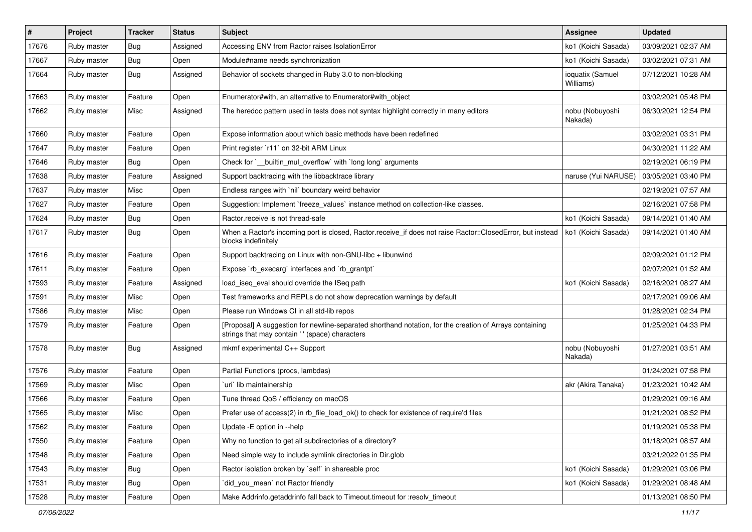| #     | Project     | <b>Tracker</b> | <b>Status</b> | <b>Subject</b>                                                                                                                                             | Assignee                      | <b>Updated</b>      |
|-------|-------------|----------------|---------------|------------------------------------------------------------------------------------------------------------------------------------------------------------|-------------------------------|---------------------|
| 17676 | Ruby master | <b>Bug</b>     | Assigned      | Accessing ENV from Ractor raises IsolationError                                                                                                            | ko1 (Koichi Sasada)           | 03/09/2021 02:37 AM |
| 17667 | Ruby master | <b>Bug</b>     | Open          | Module#name needs synchronization                                                                                                                          | ko1 (Koichi Sasada)           | 03/02/2021 07:31 AM |
| 17664 | Ruby master | Bug            | Assigned      | Behavior of sockets changed in Ruby 3.0 to non-blocking                                                                                                    | ioquatix (Samuel<br>Williams) | 07/12/2021 10:28 AM |
| 17663 | Ruby master | Feature        | Open          | Enumerator#with, an alternative to Enumerator#with object                                                                                                  |                               | 03/02/2021 05:48 PM |
| 17662 | Ruby master | Misc           | Assigned      | The heredoc pattern used in tests does not syntax highlight correctly in many editors                                                                      | nobu (Nobuyoshi<br>Nakada)    | 06/30/2021 12:54 PM |
| 17660 | Ruby master | Feature        | Open          | Expose information about which basic methods have been redefined                                                                                           |                               | 03/02/2021 03:31 PM |
| 17647 | Ruby master | Feature        | Open          | Print register `r11` on 32-bit ARM Linux                                                                                                                   |                               | 04/30/2021 11:22 AM |
| 17646 | Ruby master | Bug            | Open          | Check for `__builtin_mul_overflow` with `long long` arguments                                                                                              |                               | 02/19/2021 06:19 PM |
| 17638 | Ruby master | Feature        | Assigned      | Support backtracing with the libbacktrace library                                                                                                          | naruse (Yui NARUSE)           | 03/05/2021 03:40 PM |
| 17637 | Ruby master | Misc           | Open          | Endless ranges with `nil` boundary weird behavior                                                                                                          |                               | 02/19/2021 07:57 AM |
| 17627 | Ruby master | Feature        | Open          | Suggestion: Implement `freeze_values` instance method on collection-like classes.                                                                          |                               | 02/16/2021 07:58 PM |
| 17624 | Ruby master | <b>Bug</b>     | Open          | Ractor.receive is not thread-safe                                                                                                                          | ko1 (Koichi Sasada)           | 09/14/2021 01:40 AM |
| 17617 | Ruby master | Bug            | Open          | When a Ractor's incoming port is closed, Ractor.receive_if does not raise Ractor::ClosedError, but instead<br>blocks indefinitely                          | ko1 (Koichi Sasada)           | 09/14/2021 01:40 AM |
| 17616 | Ruby master | Feature        | Open          | Support backtracing on Linux with non-GNU-libc + libunwind                                                                                                 |                               | 02/09/2021 01:12 PM |
| 17611 | Ruby master | Feature        | Open          | Expose `rb_execarg` interfaces and `rb_grantpt`                                                                                                            |                               | 02/07/2021 01:52 AM |
| 17593 | Ruby master | Feature        | Assigned      | load_iseq_eval should override the ISeq path                                                                                                               | ko1 (Koichi Sasada)           | 02/16/2021 08:27 AM |
| 17591 | Ruby master | Misc           | Open          | Test frameworks and REPLs do not show deprecation warnings by default                                                                                      |                               | 02/17/2021 09:06 AM |
| 17586 | Ruby master | Misc           | Open          | Please run Windows CI in all std-lib repos                                                                                                                 |                               | 01/28/2021 02:34 PM |
| 17579 | Ruby master | Feature        | Open          | [Proposal] A suggestion for newline-separated shorthand notation, for the creation of Arrays containing<br>strings that may contain ' ' (space) characters |                               | 01/25/2021 04:33 PM |
| 17578 | Ruby master | Bug            | Assigned      | mkmf experimental C++ Support                                                                                                                              | nobu (Nobuyoshi<br>Nakada)    | 01/27/2021 03:51 AM |
| 17576 | Ruby master | Feature        | Open          | Partial Functions (procs, lambdas)                                                                                                                         |                               | 01/24/2021 07:58 PM |
| 17569 | Ruby master | Misc           | Open          | uri lib maintainership                                                                                                                                     | akr (Akira Tanaka)            | 01/23/2021 10:42 AM |
| 17566 | Ruby master | Feature        | Open          | Tune thread QoS / efficiency on macOS                                                                                                                      |                               | 01/29/2021 09:16 AM |
| 17565 | Ruby master | Misc           | Open          | Prefer use of access(2) in rb_file_load_ok() to check for existence of require'd files                                                                     |                               | 01/21/2021 08:52 PM |
| 17562 | Ruby master | Feature        | Open          | Update - E option in -- help                                                                                                                               |                               | 01/19/2021 05:38 PM |
| 17550 | Ruby master | Feature        | Open          | Why no function to get all subdirectories of a directory?                                                                                                  |                               | 01/18/2021 08:57 AM |
| 17548 | Ruby master | Feature        | Open          | Need simple way to include symlink directories in Dir.glob                                                                                                 |                               | 03/21/2022 01:35 PM |
| 17543 | Ruby master | <b>Bug</b>     | Open          | Ractor isolation broken by `self` in shareable proc                                                                                                        | ko1 (Koichi Sasada)           | 01/29/2021 03:06 PM |
| 17531 | Ruby master | <b>Bug</b>     | Open          | did_you_mean' not Ractor friendly                                                                                                                          | ko1 (Koichi Sasada)           | 01/29/2021 08:48 AM |
| 17528 | Ruby master | Feature        | Open          | Make Addrinfo.getaddrinfo fall back to Timeout.timeout for :resolv_timeout                                                                                 |                               | 01/13/2021 08:50 PM |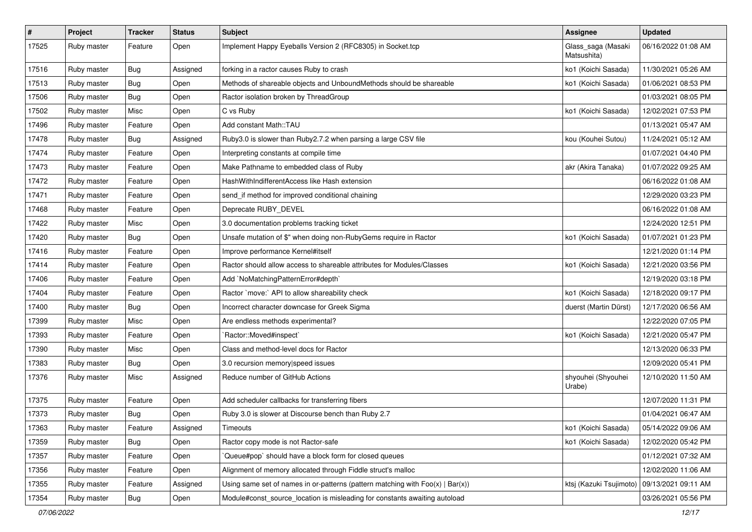| $\sharp$ | Project     | <b>Tracker</b> | <b>Status</b> | <b>Subject</b>                                                                    | <b>Assignee</b>                               | Updated             |
|----------|-------------|----------------|---------------|-----------------------------------------------------------------------------------|-----------------------------------------------|---------------------|
| 17525    | Ruby master | Feature        | Open          | Implement Happy Eyeballs Version 2 (RFC8305) in Socket.tcp                        | Glass_saga (Masaki<br>Matsushita)             | 06/16/2022 01:08 AM |
| 17516    | Ruby master | Bug            | Assigned      | forking in a ractor causes Ruby to crash                                          | ko1 (Koichi Sasada)                           | 11/30/2021 05:26 AM |
| 17513    | Ruby master | Bug            | Open          | Methods of shareable objects and UnboundMethods should be shareable               | ko1 (Koichi Sasada)                           | 01/06/2021 08:53 PM |
| 17506    | Ruby master | Bug            | Open          | Ractor isolation broken by ThreadGroup                                            |                                               | 01/03/2021 08:05 PM |
| 17502    | Ruby master | Misc           | Open          | C vs Ruby                                                                         | ko1 (Koichi Sasada)                           | 12/02/2021 07:53 PM |
| 17496    | Ruby master | Feature        | Open          | Add constant Math::TAU                                                            |                                               | 01/13/2021 05:47 AM |
| 17478    | Ruby master | <b>Bug</b>     | Assigned      | Ruby3.0 is slower than Ruby2.7.2 when parsing a large CSV file                    | kou (Kouhei Sutou)                            | 11/24/2021 05:12 AM |
| 17474    | Ruby master | Feature        | Open          | Interpreting constants at compile time                                            |                                               | 01/07/2021 04:40 PM |
| 17473    | Ruby master | Feature        | Open          | Make Pathname to embedded class of Ruby                                           | akr (Akira Tanaka)                            | 01/07/2022 09:25 AM |
| 17472    | Ruby master | Feature        | Open          | HashWithIndifferentAccess like Hash extension                                     |                                               | 06/16/2022 01:08 AM |
| 17471    | Ruby master | Feature        | Open          | send_if method for improved conditional chaining                                  |                                               | 12/29/2020 03:23 PM |
| 17468    | Ruby master | Feature        | Open          | Deprecate RUBY_DEVEL                                                              |                                               | 06/16/2022 01:08 AM |
| 17422    | Ruby master | Misc           | Open          | 3.0 documentation problems tracking ticket                                        |                                               | 12/24/2020 12:51 PM |
| 17420    | Ruby master | Bug            | Open          | Unsafe mutation of \$" when doing non-RubyGems require in Ractor                  | ko1 (Koichi Sasada)                           | 01/07/2021 01:23 PM |
| 17416    | Ruby master | Feature        | Open          | Improve performance Kernel#itself                                                 |                                               | 12/21/2020 01:14 PM |
| 17414    | Ruby master | Feature        | Open          | Ractor should allow access to shareable attributes for Modules/Classes            | ko1 (Koichi Sasada)                           | 12/21/2020 03:56 PM |
| 17406    | Ruby master | Feature        | Open          | Add `NoMatchingPatternError#depth`                                                |                                               | 12/19/2020 03:18 PM |
| 17404    | Ruby master | Feature        | Open          | Ractor `move:` API to allow shareability check                                    | ko1 (Koichi Sasada)                           | 12/18/2020 09:17 PM |
| 17400    | Ruby master | Bug            | Open          | Incorrect character downcase for Greek Sigma                                      | duerst (Martin Dürst)                         | 12/17/2020 06:56 AM |
| 17399    | Ruby master | Misc           | Open          | Are endless methods experimental?                                                 |                                               | 12/22/2020 07:05 PM |
| 17393    | Ruby master | Feature        | Open          | `Ractor::Moved#inspect`                                                           | ko1 (Koichi Sasada)                           | 12/21/2020 05:47 PM |
| 17390    | Ruby master | Misc           | Open          | Class and method-level docs for Ractor                                            |                                               | 12/13/2020 06:33 PM |
| 17383    | Ruby master | Bug            | Open          | 3.0 recursion memory speed issues                                                 |                                               | 12/09/2020 05:41 PM |
| 17376    | Ruby master | Misc           | Assigned      | Reduce number of GitHub Actions                                                   | shyouhei (Shyouhei<br>Urabe)                  | 12/10/2020 11:50 AM |
| 17375    | Ruby master | Feature        | Open          | Add scheduler callbacks for transferring fibers                                   |                                               | 12/07/2020 11:31 PM |
| 17373    | Ruby master | Bug            | Open          | Ruby 3.0 is slower at Discourse bench than Ruby 2.7                               |                                               | 01/04/2021 06:47 AM |
| 17363    | Ruby master | Feature        | Assigned      | Timeouts                                                                          | ko1 (Koichi Sasada)                           | 05/14/2022 09:06 AM |
| 17359    | Ruby master | Bug            | Open          | Ractor copy mode is not Ractor-safe                                               | ko1 (Koichi Sasada)                           | 12/02/2020 05:42 PM |
| 17357    | Ruby master | Feature        | Open          | Queue#pop` should have a block form for closed queues                             |                                               | 01/12/2021 07:32 AM |
| 17356    | Ruby master | Feature        | Open          | Alignment of memory allocated through Fiddle struct's malloc                      |                                               | 12/02/2020 11:06 AM |
| 17355    | Ruby master | Feature        | Assigned      | Using same set of names in or-patterns (pattern matching with $Foo(x)   Bar(x)$ ) | ktsj (Kazuki Tsujimoto)   09/13/2021 09:11 AM |                     |
| 17354    | Ruby master | <b>Bug</b>     | Open          | Module#const_source_location is misleading for constants awaiting autoload        |                                               | 03/26/2021 05:56 PM |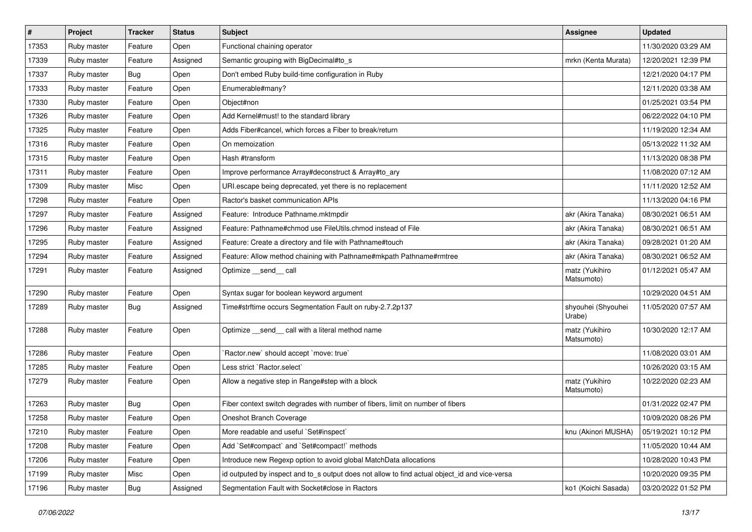| $\sharp$ | Project     | <b>Tracker</b> | <b>Status</b> | Subject                                                                                       | <b>Assignee</b>              | <b>Updated</b>      |
|----------|-------------|----------------|---------------|-----------------------------------------------------------------------------------------------|------------------------------|---------------------|
| 17353    | Ruby master | Feature        | Open          | Functional chaining operator                                                                  |                              | 11/30/2020 03:29 AM |
| 17339    | Ruby master | Feature        | Assigned      | Semantic grouping with BigDecimal#to_s                                                        | mrkn (Kenta Murata)          | 12/20/2021 12:39 PM |
| 17337    | Ruby master | Bug            | Open          | Don't embed Ruby build-time configuration in Ruby                                             |                              | 12/21/2020 04:17 PM |
| 17333    | Ruby master | Feature        | Open          | Enumerable#many?                                                                              |                              | 12/11/2020 03:38 AM |
| 17330    | Ruby master | Feature        | Open          | Object#non                                                                                    |                              | 01/25/2021 03:54 PM |
| 17326    | Ruby master | Feature        | Open          | Add Kernel#must! to the standard library                                                      |                              | 06/22/2022 04:10 PM |
| 17325    | Ruby master | Feature        | Open          | Adds Fiber#cancel, which forces a Fiber to break/return                                       |                              | 11/19/2020 12:34 AM |
| 17316    | Ruby master | Feature        | Open          | On memoization                                                                                |                              | 05/13/2022 11:32 AM |
| 17315    | Ruby master | Feature        | Open          | Hash #transform                                                                               |                              | 11/13/2020 08:38 PM |
| 17311    | Ruby master | Feature        | Open          | Improve performance Array#deconstruct & Array#to_ary                                          |                              | 11/08/2020 07:12 AM |
| 17309    | Ruby master | Misc           | Open          | URI escape being deprecated, yet there is no replacement                                      |                              | 11/11/2020 12:52 AM |
| 17298    | Ruby master | Feature        | Open          | Ractor's basket communication APIs                                                            |                              | 11/13/2020 04:16 PM |
| 17297    | Ruby master | Feature        | Assigned      | Feature: Introduce Pathname.mktmpdir                                                          | akr (Akira Tanaka)           | 08/30/2021 06:51 AM |
| 17296    | Ruby master | Feature        | Assigned      | Feature: Pathname#chmod use FileUtils.chmod instead of File                                   | akr (Akira Tanaka)           | 08/30/2021 06:51 AM |
| 17295    | Ruby master | Feature        | Assigned      | Feature: Create a directory and file with Pathname#touch                                      | akr (Akira Tanaka)           | 09/28/2021 01:20 AM |
| 17294    | Ruby master | Feature        | Assigned      | Feature: Allow method chaining with Pathname#mkpath Pathname#rmtree                           | akr (Akira Tanaka)           | 08/30/2021 06:52 AM |
| 17291    | Ruby master | Feature        | Assigned      | Optimize __send__ call                                                                        | matz (Yukihiro<br>Matsumoto) | 01/12/2021 05:47 AM |
| 17290    | Ruby master | Feature        | Open          | Syntax sugar for boolean keyword argument                                                     |                              | 10/29/2020 04:51 AM |
| 17289    | Ruby master | Bug            | Assigned      | Time#strftime occurs Segmentation Fault on ruby-2.7.2p137                                     | shyouhei (Shyouhei<br>Urabe) | 11/05/2020 07:57 AM |
| 17288    | Ruby master | Feature        | Open          | Optimize _send_ call with a literal method name                                               | matz (Yukihiro<br>Matsumoto) | 10/30/2020 12:17 AM |
| 17286    | Ruby master | Feature        | Open          | 'Ractor.new' should accept 'move: true'                                                       |                              | 11/08/2020 03:01 AM |
| 17285    | Ruby master | Feature        | Open          | Less strict `Ractor.select`                                                                   |                              | 10/26/2020 03:15 AM |
| 17279    | Ruby master | Feature        | Open          | Allow a negative step in Range#step with a block                                              | matz (Yukihiro<br>Matsumoto) | 10/22/2020 02:23 AM |
| 17263    | Ruby master | Bug            | Open          | Fiber context switch degrades with number of fibers, limit on number of fibers                |                              | 01/31/2022 02:47 PM |
| 17258    | Ruby master | Feature        | Open          | Oneshot Branch Coverage                                                                       |                              | 10/09/2020 08:26 PM |
| 17210    | Ruby master | Feature        | Open          | More readable and useful `Set#inspect`                                                        | knu (Akinori MUSHA)          | 05/19/2021 10:12 PM |
| 17208    | Ruby master | Feature        | Open          | Add `Set#compact` and `Set#compact!` methods                                                  |                              | 11/05/2020 10:44 AM |
| 17206    | Ruby master | Feature        | Open          | Introduce new Regexp option to avoid global MatchData allocations                             |                              | 10/28/2020 10:43 PM |
| 17199    | Ruby master | Misc           | Open          | id outputed by inspect and to_s output does not allow to find actual object_id and vice-versa |                              | 10/20/2020 09:35 PM |
| 17196    | Ruby master | <b>Bug</b>     | Assigned      | Segmentation Fault with Socket#close in Ractors                                               | ko1 (Koichi Sasada)          | 03/20/2022 01:52 PM |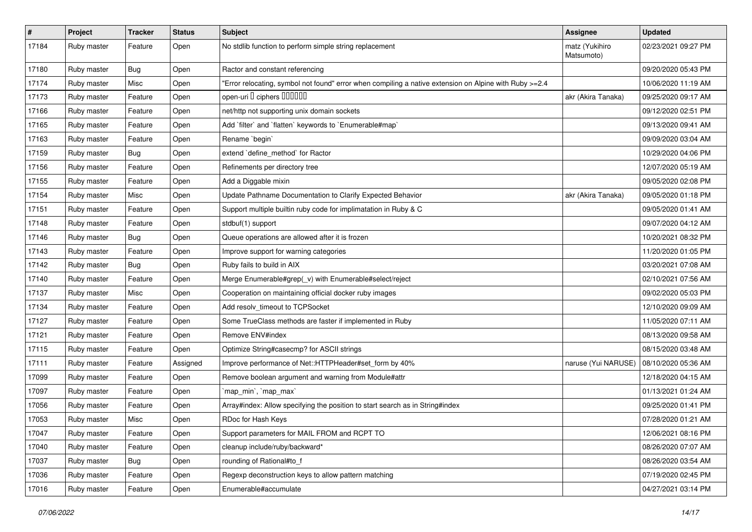| $\pmb{\#}$ | Project     | <b>Tracker</b> | <b>Status</b> | Subject                                                                                               | <b>Assignee</b>              | <b>Updated</b>      |
|------------|-------------|----------------|---------------|-------------------------------------------------------------------------------------------------------|------------------------------|---------------------|
| 17184      | Ruby master | Feature        | Open          | No stdlib function to perform simple string replacement                                               | matz (Yukihiro<br>Matsumoto) | 02/23/2021 09:27 PM |
| 17180      | Ruby master | Bug            | Open          | Ractor and constant referencing                                                                       |                              | 09/20/2020 05:43 PM |
| 17174      | Ruby master | Misc           | Open          | Error relocating, symbol not found" error when compiling a native extension on Alpine with Ruby >=2.4 |                              | 10/06/2020 11:19 AM |
| 17173      | Ruby master | Feature        | Open          | open-uri I ciphers IIIIIII                                                                            | akr (Akira Tanaka)           | 09/25/2020 09:17 AM |
| 17166      | Ruby master | Feature        | Open          | net/http not supporting unix domain sockets                                                           |                              | 09/12/2020 02:51 PM |
| 17165      | Ruby master | Feature        | Open          | Add 'filter' and 'flatten' keywords to 'Enumerable#map'                                               |                              | 09/13/2020 09:41 AM |
| 17163      | Ruby master | Feature        | Open          | Rename `begin`                                                                                        |                              | 09/09/2020 03:04 AM |
| 17159      | Ruby master | Bug            | Open          | extend 'define_method' for Ractor                                                                     |                              | 10/29/2020 04:06 PM |
| 17156      | Ruby master | Feature        | Open          | Refinements per directory tree                                                                        |                              | 12/07/2020 05:19 AM |
| 17155      | Ruby master | Feature        | Open          | Add a Diggable mixin                                                                                  |                              | 09/05/2020 02:08 PM |
| 17154      | Ruby master | Misc           | Open          | Update Pathname Documentation to Clarify Expected Behavior                                            | akr (Akira Tanaka)           | 09/05/2020 01:18 PM |
| 17151      | Ruby master | Feature        | Open          | Support multiple builtin ruby code for implimatation in Ruby & C                                      |                              | 09/05/2020 01:41 AM |
| 17148      | Ruby master | Feature        | Open          | stdbuf(1) support                                                                                     |                              | 09/07/2020 04:12 AM |
| 17146      | Ruby master | Bug            | Open          | Queue operations are allowed after it is frozen                                                       |                              | 10/20/2021 08:32 PM |
| 17143      | Ruby master | Feature        | Open          | Improve support for warning categories                                                                |                              | 11/20/2020 01:05 PM |
| 17142      | Ruby master | Bug            | Open          | Ruby fails to build in AIX                                                                            |                              | 03/20/2021 07:08 AM |
| 17140      | Ruby master | Feature        | Open          | Merge Enumerable#grep(_v) with Enumerable#select/reject                                               |                              | 02/10/2021 07:56 AM |
| 17137      | Ruby master | Misc           | Open          | Cooperation on maintaining official docker ruby images                                                |                              | 09/02/2020 05:03 PM |
| 17134      | Ruby master | Feature        | Open          | Add resolv_timeout to TCPSocket                                                                       |                              | 12/10/2020 09:09 AM |
| 17127      | Ruby master | Feature        | Open          | Some TrueClass methods are faster if implemented in Ruby                                              |                              | 11/05/2020 07:11 AM |
| 17121      | Ruby master | Feature        | Open          | Remove ENV#index                                                                                      |                              | 08/13/2020 09:58 AM |
| 17115      | Ruby master | Feature        | Open          | Optimize String#casecmp? for ASCII strings                                                            |                              | 08/15/2020 03:48 AM |
| 17111      | Ruby master | Feature        | Assigned      | Improve performance of Net::HTTPHeader#set_form by 40%                                                | naruse (Yui NARUSE)          | 08/10/2020 05:36 AM |
| 17099      | Ruby master | Feature        | Open          | Remove boolean argument and warning from Module#attr                                                  |                              | 12/18/2020 04:15 AM |
| 17097      | Ruby master | Feature        | Open          | `map_min`, `map_max`                                                                                  |                              | 01/13/2021 01:24 AM |
| 17056      | Ruby master | Feature        | Open          | Array#index: Allow specifying the position to start search as in String#index                         |                              | 09/25/2020 01:41 PM |
| 17053      | Ruby master | Misc           | Open          | RDoc for Hash Keys                                                                                    |                              | 07/28/2020 01:21 AM |
| 17047      | Ruby master | Feature        | Open          | Support parameters for MAIL FROM and RCPT TO                                                          |                              | 12/06/2021 08:16 PM |
| 17040      | Ruby master | Feature        | Open          | cleanup include/ruby/backward*                                                                        |                              | 08/26/2020 07:07 AM |
| 17037      | Ruby master | <b>Bug</b>     | Open          | rounding of Rational#to_f                                                                             |                              | 08/26/2020 03:54 AM |
| 17036      | Ruby master | Feature        | Open          | Regexp deconstruction keys to allow pattern matching                                                  |                              | 07/19/2020 02:45 PM |
| 17016      | Ruby master | Feature        | Open          | Enumerable#accumulate                                                                                 |                              | 04/27/2021 03:14 PM |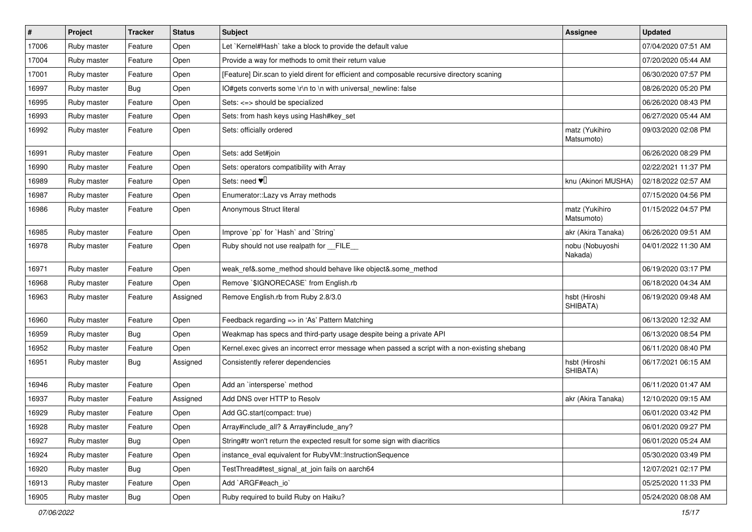| $\vert$ # | Project     | <b>Tracker</b> | <b>Status</b> | <b>Subject</b>                                                                                | <b>Assignee</b>              | <b>Updated</b>      |
|-----------|-------------|----------------|---------------|-----------------------------------------------------------------------------------------------|------------------------------|---------------------|
| 17006     | Ruby master | Feature        | Open          | Let `Kernel#Hash` take a block to provide the default value                                   |                              | 07/04/2020 07:51 AM |
| 17004     | Ruby master | Feature        | Open          | Provide a way for methods to omit their return value                                          |                              | 07/20/2020 05:44 AM |
| 17001     | Ruby master | Feature        | Open          | [Feature] Dir.scan to yield dirent for efficient and composable recursive directory scaning   |                              | 06/30/2020 07:57 PM |
| 16997     | Ruby master | <b>Bug</b>     | Open          | IO#gets converts some \r\n to \n with universal_newline: false                                |                              | 08/26/2020 05:20 PM |
| 16995     | Ruby master | Feature        | Open          | Sets: <=> should be specialized                                                               |                              | 06/26/2020 08:43 PM |
| 16993     | Ruby master | Feature        | Open          | Sets: from hash keys using Hash#key_set                                                       |                              | 06/27/2020 05:44 AM |
| 16992     | Ruby master | Feature        | Open          | Sets: officially ordered                                                                      | matz (Yukihiro<br>Matsumoto) | 09/03/2020 02:08 PM |
| 16991     | Ruby master | Feature        | Open          | Sets: add Set#join                                                                            |                              | 06/26/2020 08:29 PM |
| 16990     | Ruby master | Feature        | Open          | Sets: operators compatibility with Array                                                      |                              | 02/22/2021 11:37 PM |
| 16989     | Ruby master | Feature        | Open          | Sets: need $\Psi$                                                                             | knu (Akinori MUSHA)          | 02/18/2022 02:57 AM |
| 16987     | Ruby master | Feature        | Open          | Enumerator::Lazy vs Array methods                                                             |                              | 07/15/2020 04:56 PM |
| 16986     | Ruby master | Feature        | Open          | Anonymous Struct literal                                                                      | matz (Yukihiro<br>Matsumoto) | 01/15/2022 04:57 PM |
| 16985     | Ruby master | Feature        | Open          | Improve `pp` for `Hash` and `String`                                                          | akr (Akira Tanaka)           | 06/26/2020 09:51 AM |
| 16978     | Ruby master | Feature        | Open          | Ruby should not use realpath for __FILE_                                                      | nobu (Nobuyoshi<br>Nakada)   | 04/01/2022 11:30 AM |
| 16971     | Ruby master | Feature        | Open          | weak_ref&.some_method should behave like object&.some_method                                  |                              | 06/19/2020 03:17 PM |
| 16968     | Ruby master | Feature        | Open          | Remove `\$IGNORECASE` from English.rb                                                         |                              | 06/18/2020 04:34 AM |
| 16963     | Ruby master | Feature        | Assigned      | Remove English.rb from Ruby 2.8/3.0                                                           | hsbt (Hiroshi<br>SHIBATA)    | 06/19/2020 09:48 AM |
| 16960     | Ruby master | Feature        | Open          | Feedback regarding => in 'As' Pattern Matching                                                |                              | 06/13/2020 12:32 AM |
| 16959     | Ruby master | <b>Bug</b>     | Open          | Weakmap has specs and third-party usage despite being a private API                           |                              | 06/13/2020 08:54 PM |
| 16952     | Ruby master | Feature        | Open          | Kernel.exec gives an incorrect error message when passed a script with a non-existing shebang |                              | 06/11/2020 08:40 PM |
| 16951     | Ruby master | <b>Bug</b>     | Assigned      | Consistently referer dependencies                                                             | hsbt (Hiroshi<br>SHIBATA)    | 06/17/2021 06:15 AM |
| 16946     | Ruby master | Feature        | Open          | Add an 'intersperse' method                                                                   |                              | 06/11/2020 01:47 AM |
| 16937     | Ruby master | Feature        | Assigned      | Add DNS over HTTP to Resolv                                                                   | akr (Akira Tanaka)           | 12/10/2020 09:15 AM |
| 16929     | Ruby master | Feature        | Open          | Add GC.start(compact: true)                                                                   |                              | 06/01/2020 03:42 PM |
| 16928     | Ruby master | Feature        | Open          | Array#include_all? & Array#include_any?                                                       |                              | 06/01/2020 09:27 PM |
| 16927     | Ruby master | <b>Bug</b>     | Open          | String#tr won't return the expected result for some sign with diacritics                      |                              | 06/01/2020 05:24 AM |
| 16924     | Ruby master | Feature        | Open          | instance_eval equivalent for RubyVM::InstructionSequence                                      |                              | 05/30/2020 03:49 PM |
| 16920     | Ruby master | <b>Bug</b>     | Open          | TestThread#test_signal_at_join fails on aarch64                                               |                              | 12/07/2021 02:17 PM |
| 16913     | Ruby master | Feature        | Open          | Add `ARGF#each_io`                                                                            |                              | 05/25/2020 11:33 PM |
| 16905     | Ruby master | <b>Bug</b>     | Open          | Ruby required to build Ruby on Haiku?                                                         |                              | 05/24/2020 08:08 AM |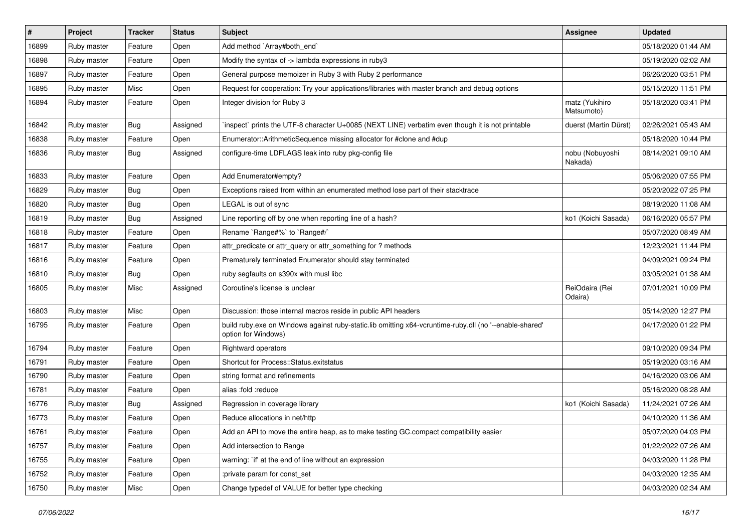| $\vert$ # | Project     | <b>Tracker</b> | <b>Status</b> | Subject                                                                                                                        | <b>Assignee</b>              | <b>Updated</b>      |
|-----------|-------------|----------------|---------------|--------------------------------------------------------------------------------------------------------------------------------|------------------------------|---------------------|
| 16899     | Ruby master | Feature        | Open          | Add method `Array#both_end`                                                                                                    |                              | 05/18/2020 01:44 AM |
| 16898     | Ruby master | Feature        | Open          | Modify the syntax of -> lambda expressions in ruby3                                                                            |                              | 05/19/2020 02:02 AM |
| 16897     | Ruby master | Feature        | Open          | General purpose memoizer in Ruby 3 with Ruby 2 performance                                                                     |                              | 06/26/2020 03:51 PM |
| 16895     | Ruby master | Misc           | Open          | Request for cooperation: Try your applications/libraries with master branch and debug options                                  |                              | 05/15/2020 11:51 PM |
| 16894     | Ruby master | Feature        | Open          | Integer division for Ruby 3                                                                                                    | matz (Yukihiro<br>Matsumoto) | 05/18/2020 03:41 PM |
| 16842     | Ruby master | <b>Bug</b>     | Assigned      | inspect` prints the UTF-8 character U+0085 (NEXT LINE) verbatim even though it is not printable                                | duerst (Martin Dürst)        | 02/26/2021 05:43 AM |
| 16838     | Ruby master | Feature        | Open          | Enumerator::ArithmeticSequence missing allocator for #clone and #dup                                                           |                              | 05/18/2020 10:44 PM |
| 16836     | Ruby master | Bug            | Assigned      | configure-time LDFLAGS leak into ruby pkg-config file                                                                          | nobu (Nobuyoshi<br>Nakada)   | 08/14/2021 09:10 AM |
| 16833     | Ruby master | Feature        | Open          | Add Enumerator#empty?                                                                                                          |                              | 05/06/2020 07:55 PM |
| 16829     | Ruby master | <b>Bug</b>     | Open          | Exceptions raised from within an enumerated method lose part of their stacktrace                                               |                              | 05/20/2022 07:25 PM |
| 16820     | Ruby master | <b>Bug</b>     | Open          | LEGAL is out of sync                                                                                                           |                              | 08/19/2020 11:08 AM |
| 16819     | Ruby master | <b>Bug</b>     | Assigned      | Line reporting off by one when reporting line of a hash?                                                                       | ko1 (Koichi Sasada)          | 06/16/2020 05:57 PM |
| 16818     | Ruby master | Feature        | Open          | Rename `Range#%` to `Range#/`                                                                                                  |                              | 05/07/2020 08:49 AM |
| 16817     | Ruby master | Feature        | Open          | attr_predicate or attr_query or attr_something for ? methods                                                                   |                              | 12/23/2021 11:44 PM |
| 16816     | Ruby master | Feature        | Open          | Prematurely terminated Enumerator should stay terminated                                                                       |                              | 04/09/2021 09:24 PM |
| 16810     | Ruby master | Bug            | Open          | ruby segfaults on s390x with musl libc                                                                                         |                              | 03/05/2021 01:38 AM |
| 16805     | Ruby master | Misc           | Assigned      | Coroutine's license is unclear                                                                                                 | ReiOdaira (Rei<br>Odaira)    | 07/01/2021 10:09 PM |
| 16803     | Ruby master | Misc           | Open          | Discussion: those internal macros reside in public API headers                                                                 |                              | 05/14/2020 12:27 PM |
| 16795     | Ruby master | Feature        | Open          | build ruby.exe on Windows against ruby-static.lib omitting x64-vcruntime-ruby.dll (no '--enable-shared'<br>option for Windows) |                              | 04/17/2020 01:22 PM |
| 16794     | Ruby master | Feature        | Open          | <b>Rightward operators</b>                                                                                                     |                              | 09/10/2020 09:34 PM |
| 16791     | Ruby master | Feature        | Open          | Shortcut for Process::Status.exitstatus                                                                                        |                              | 05/19/2020 03:16 AM |
| 16790     | Ruby master | Feature        | Open          | string format and refinements                                                                                                  |                              | 04/16/2020 03:06 AM |
| 16781     | Ruby master | Feature        | Open          | alias :fold :reduce                                                                                                            |                              | 05/16/2020 08:28 AM |
| 16776     | Ruby master | <b>Bug</b>     | Assigned      | Regression in coverage library                                                                                                 | ko1 (Koichi Sasada)          | 11/24/2021 07:26 AM |
| 16773     | Ruby master | Feature        | Open          | Reduce allocations in net/http                                                                                                 |                              | 04/10/2020 11:36 AM |
| 16761     | Ruby master | Feature        | Open          | Add an API to move the entire heap, as to make testing GC.compact compatibility easier                                         |                              | 05/07/2020 04:03 PM |
| 16757     | Ruby master | Feature        | Open          | Add intersection to Range                                                                                                      |                              | 01/22/2022 07:26 AM |
| 16755     | Ruby master | Feature        | Open          | warning: `if' at the end of line without an expression                                                                         |                              | 04/03/2020 11:28 PM |
| 16752     | Ruby master | Feature        | Open          | :private param for const_set                                                                                                   |                              | 04/03/2020 12:35 AM |
| 16750     | Ruby master | Misc           | Open          | Change typedef of VALUE for better type checking                                                                               |                              | 04/03/2020 02:34 AM |